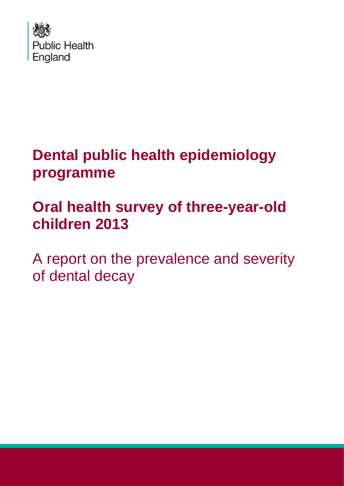

# **Dental public health epidemiology programme**

# **Oral health survey of three-year-old children 2013**

A report on the prevalence and severity of dental decay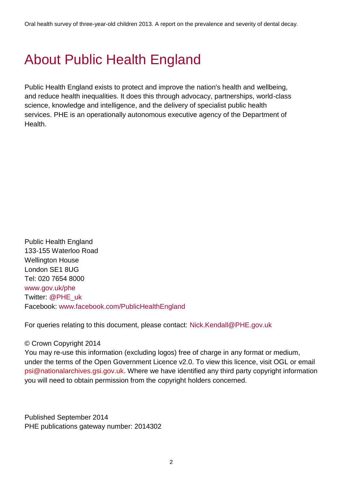# About Public Health England

Public Health England exists to protect and improve the nation's health and wellbeing, and reduce health inequalities. It does this through advocacy, partnerships, world-class science, knowledge and intelligence, and the delivery of specialist public health services. PHE is an operationally autonomous executive agency of the Department of Health.

Public Health England 133-155 Waterloo Road Wellington House London SE1 8UG Tel: 020 7654 8000 [www.gov.uk/phe](http://www.gov.uk/phe) Twitter: @PHE\_uk Facebook: [www.facebook.com/PublicHealthEngland](http://www.facebook.com/PublicHealthEngland)

For queries relating to this document, please contact: [Nick.Kendall@PHE.gov.uk](mailto:Nick.Kendall@PHE.gov.uk)

#### © Crown Copyright 2014

You may re-use this information (excluding logos) free of charge in any format or medium, under the terms of the Open Government Licence v2.0. To view this licence, visit OGL or email psi@nationalarchives.gsi.gov.uk. Where we have identified any third party copyright information you will need to obtain permission from the copyright holders concerned.

Published September 2014 PHE publications gateway number: 2014302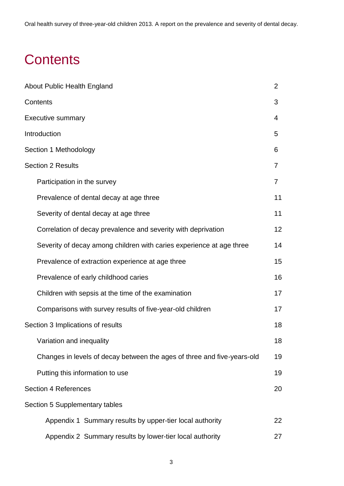Oral health survey of three-year-old children 2013. A report on the prevalence and severity of dental decay.

# **Contents**

| About Public Health England                                             | 2  |
|-------------------------------------------------------------------------|----|
| Contents                                                                | 3  |
| <b>Executive summary</b>                                                | 4  |
| Introduction                                                            | 5  |
| Section 1 Methodology                                                   | 6  |
| <b>Section 2 Results</b>                                                | 7  |
| Participation in the survey                                             | 7  |
| Prevalence of dental decay at age three                                 | 11 |
| Severity of dental decay at age three                                   | 11 |
| Correlation of decay prevalence and severity with deprivation           | 12 |
| Severity of decay among children with caries experience at age three    | 14 |
| Prevalence of extraction experience at age three                        | 15 |
| Prevalence of early childhood caries                                    | 16 |
| Children with sepsis at the time of the examination                     | 17 |
| Comparisons with survey results of five-year-old children               | 17 |
| Section 3 Implications of results                                       | 18 |
| Variation and inequality                                                | 18 |
| Changes in levels of decay between the ages of three and five-years-old | 19 |
| Putting this information to use                                         | 19 |
| <b>Section 4 References</b>                                             | 20 |
| Section 5 Supplementary tables                                          |    |
| Appendix 1 Summary results by upper-tier local authority                | 22 |
| Appendix 2 Summary results by lower-tier local authority                | 27 |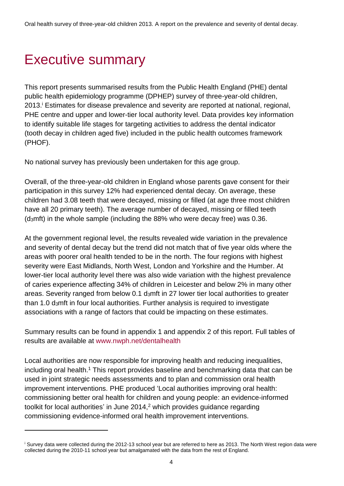# Executive summary

 $\overline{a}$ 

This report presents summarised results from the Public Health England (PHE) dental public health epidemiology programme (DPHEP) survey of three-year-old children, 2013. <sup>i</sup> Estimates for disease prevalence and severity are reported at national, regional, PHE centre and upper and lower-tier local authority level. Data provides key information to identify suitable life stages for targeting activities to address the dental indicator (tooth decay in children aged five) included in the public health outcomes framework (PHOF).

No national survey has previously been undertaken for this age group.

Overall, of the three-year-old children in England whose parents gave consent for their participation in this survey 12% had experienced dental decay. On average, these children had 3.08 teeth that were decayed, missing or filled (at age three most children have all 20 primary teeth). The average number of decayed, missing or filled teeth (d3mft) in the whole sample (including the 88% who were decay free) was 0.36.

At the government regional level, the results revealed wide variation in the prevalence and severity of dental decay but the trend did not match that of five year olds where the areas with poorer oral health tended to be in the north. The four regions with highest severity were East Midlands, North West, London and Yorkshire and the Humber. At lower-tier local authority level there was also wide variation with the highest prevalence of caries experience affecting 34% of children in Leicester and below 2% in many other areas. Severity ranged from below 0.1 d<sub>3</sub>mft in 27 lower tier local authorities to greater than 1.0 d3mft in four local authorities. Further analysis is required to investigate associations with a range of factors that could be impacting on these estimates.

Summary results can be found in appendix 1 and appendix 2 of this report. Full tables of results are available at [www.nwph.net/dentalhealth](http://www.nwph.net/dentalhealth/)

Local authorities are now responsible for improving health and reducing inequalities, including oral health.<sup>1</sup> This report provides baseline and benchmarking data that can be used in joint strategic needs assessments and to plan and commission oral health improvement interventions. PHE produced 'Local authorities improving oral health: commissioning better oral health for children and young people: an evidence-informed toolkit for local authorities' in June 2014, <sup>2</sup> which provides guidance regarding commissioning evidence-informed oral health improvement interventions.

<sup>&</sup>lt;sup>i</sup> Survey data were collected during the 2012-13 school year but are referred to here as 2013. The North West region data were collected during the 2010-11 school year but amalgamated with the data from the rest of England.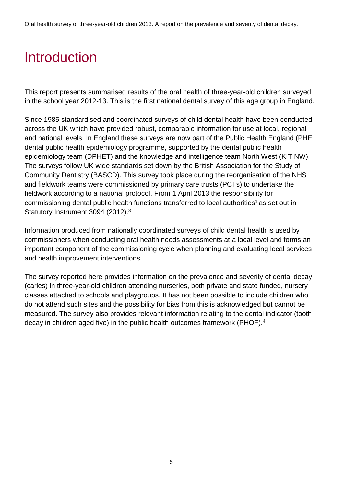# Introduction

This report presents summarised results of the oral health of three-year-old children surveyed in the school year 2012-13. This is the first national dental survey of this age group in England.

Since 1985 standardised and coordinated surveys of child dental health have been conducted across the UK which have provided robust, comparable information for use at local, regional and national levels. In England these surveys are now part of the Public Health England (PHE dental public health epidemiology programme, supported by the dental public health epidemiology team (DPHET) and the knowledge and intelligence team North West (KIT NW). The surveys follow UK wide standards set down by the British Association for the Study of Community Dentistry (BASCD). This survey took place during the reorganisation of the NHS and fieldwork teams were commissioned by primary care trusts (PCTs) to undertake the fieldwork according to a national protocol. From 1 April 2013 the responsibility for commissioning dental public health functions transferred to local authorities<sup>1</sup> as set out in Statutory Instrument 3094 (2012).<sup>3</sup>

Information produced from nationally coordinated surveys of child dental health is used by commissioners when conducting oral health needs assessments at a local level and forms an important component of the commissioning cycle when planning and evaluating local services and health improvement interventions.

The survey reported here provides information on the prevalence and severity of dental decay (caries) in three-year-old children attending nurseries, both private and state funded, nursery classes attached to schools and playgroups. It has not been possible to include children who do not attend such sites and the possibility for bias from this is acknowledged but cannot be measured. The survey also provides relevant information relating to the dental indicator (tooth decay in children aged five) in the public health outcomes framework (PHOF).<sup>4</sup>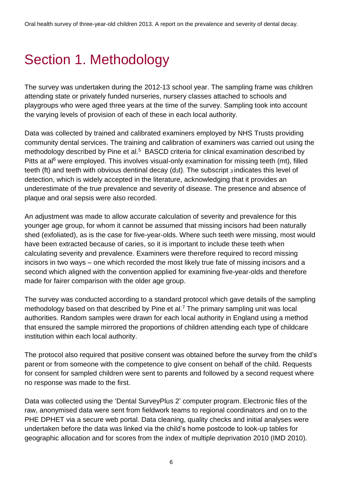# Section 1. Methodology

The survey was undertaken during the 2012-13 school year. The sampling frame was children attending state or privately funded nurseries, nursery classes attached to schools and playgroups who were aged three years at the time of the survey. Sampling took into account the varying levels of provision of each of these in each local authority.

Data was collected by trained and calibrated examiners employed by NHS Trusts providing community dental services. The training and calibration of examiners was carried out using the methodology described by Pine et al.<sup>5</sup> BASCD criteria for clinical examination described by Pitts at al<sup>6</sup> were employed. This involves visual-only examination for missing teeth (mt), filled teeth (ft) and teeth with obvious dentinal decay (d<sub>3</sub>t). The subscript 3 indicates this level of detection, which is widely accepted in the literature, acknowledging that it provides an underestimate of the true prevalence and severity of disease. The presence and absence of plaque and oral sepsis were also recorded.

An adjustment was made to allow accurate calculation of severity and prevalence for this younger age group, for whom it cannot be assumed that missing incisors had been naturally shed (exfoliated), as is the case for five-year-olds. Where such teeth were missing, most would have been extracted because of caries, so it is important to include these teeth when calculating severity and prevalence. Examiners were therefore required to record missing incisors in two ways – one which recorded the most likely true fate of missing incisors and a second which aligned with the convention applied for examining five-year-olds and therefore made for fairer comparison with the older age group.

The survey was conducted according to a standard protocol which gave details of the sampling methodology based on that described by Pine et al.<sup>7</sup> The primary sampling unit was local authorities. Random samples were drawn for each local authority in England using a method that ensured the sample mirrored the proportions of children attending each type of childcare institution within each local authority.

The protocol also required that positive consent was obtained before the survey from the child's parent or from someone with the competence to give consent on behalf of the child. Requests for consent for sampled children were sent to parents and followed by a second request where no response was made to the first.

Data was collected using the 'Dental SurveyPlus 2' computer program. Electronic files of the raw, anonymised data were sent from fieldwork teams to regional coordinators and on to the PHE DPHET via a secure web portal. Data cleaning, quality checks and initial analyses were undertaken before the data was linked via the child's home postcode to look-up tables for geographic allocation and for scores from the index of multiple deprivation 2010 (IMD 2010).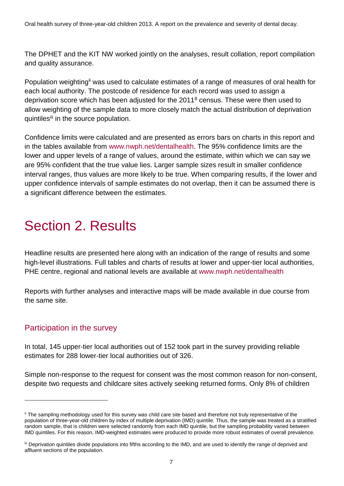The DPHET and the KIT NW worked jointly on the analyses, result collation, report compilation and quality assurance.

Population weighting<sup>ii</sup> was used to calculate estimates of a range of measures of oral health for each local authority. The postcode of residence for each record was used to assign a deprivation score which has been adjusted for the 2011<sup>8</sup> census. These were then used to allow weighting of the sample data to more closely match the actual distribution of deprivation quintiles<sup>iii</sup> in the source population.

Confidence limits were calculated and are presented as errors bars on charts in this report and in the tables available from [www.nwph.net/dentalhealth.](http://www.nwph.net/dentalhealth) The 95% confidence limits are the lower and upper levels of a range of values, around the estimate, within which we can say we are 95% confident that the true value lies. Larger sample sizes result in smaller confidence interval ranges, thus values are more likely to be true. When comparing results, if the lower and upper confidence intervals of sample estimates do not overlap, then it can be assumed there is a significant difference between the estimates.

# Section 2. Results

Headline results are presented here along with an indication of the range of results and some high-level illustrations. Full tables and charts of results at lower and upper-tier local authorities, PHE centre, regional and national levels are available at [www.nwph.net/dentalhealth](http://www.nwph.net/dentalhealth)

Reports with further analyses and interactive maps will be made available in due course from the same site.

### Participation in the survey

 $\overline{a}$ 

In total, 145 upper-tier local authorities out of 152 took part in the survey providing reliable estimates for 288 lower-tier local authorities out of 326.

Simple non-response to the request for consent was the most common reason for non-consent, despite two requests and childcare sites actively seeking returned forms. Only 8% of children

ii The sampling methodology used for this survey was child care site based and therefore not truly representative of the population of three-year-old children by index of multiple deprivation (IMD) quintile. Thus, the sample was treated as a stratified random sample, that is children were selected randomly from each IMD quintile, but the sampling probability varied between IMD quintiles. For this reason, IMD-weighted estimates were produced to provide more robust estimates of overall prevalence.

iii Deprivation quintiles divide populations into fifths according to the IMD, and are used to identify the range of deprived and affluent sections of the population.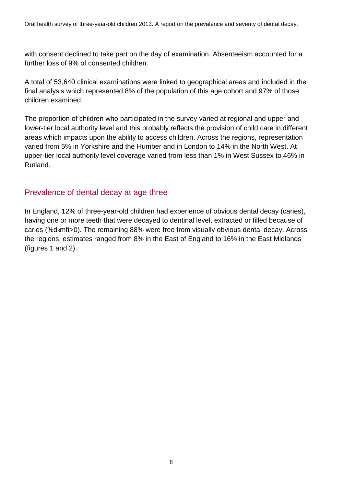Oral health survey of three-year-old children 2013. A report on the prevalence and severity of dental decay.

with consent declined to take part on the day of examination. Absenteeism accounted for a further loss of 9% of consented children.

A total of 53,640 clinical examinations were linked to geographical areas and included in the final analysis which represented 8% of the population of this age cohort and 97% of those children examined.

The proportion of children who participated in the survey varied at regional and upper and lower-tier local authority level and this probably reflects the provision of child care in different areas which impacts upon the ability to access children. Across the regions, representation varied from 5% in Yorkshire and the Humber and in London to 14% in the North West. At upper-tier local authority level coverage varied from less than 1% in West Sussex to 46% in Rutland.

#### Prevalence of dental decay at age three

In England, 12% of three-year-old children had experience of obvious dental decay (caries), having one or more teeth that were decayed to dentinal level, extracted or filled because of caries (%d<sub>3</sub>mft>0). The remaining 88% were free from visually obvious dental decay. Across the regions, estimates ranged from 8% in the East of England to 16% in the East Midlands (figures 1 and 2).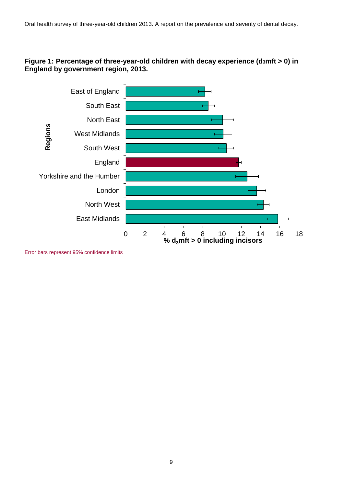#### **Figure 1: Percentage of three-year-old children with decay experience (d3mft > 0) in England by government region, 2013.**



Error bars represent 95% confidence limits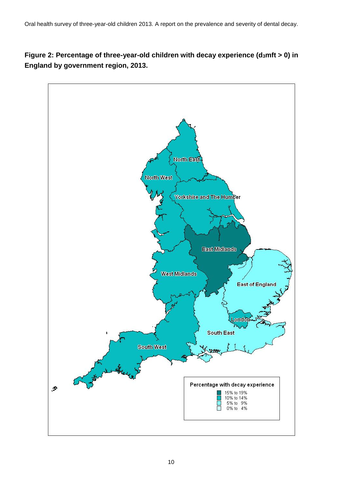**Figure 2: Percentage of three-year-old children with decay experience (d3mft > 0) in England by government region, 2013.**

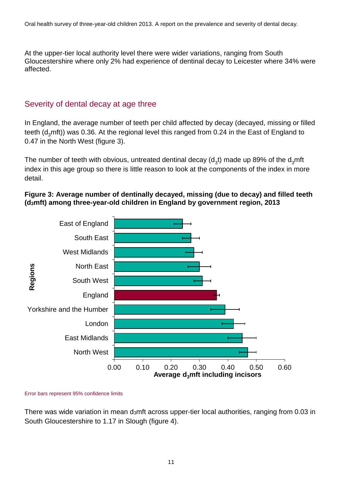At the upper-tier local authority level there were wider variations, ranging from South Gloucestershire where only 2% had experience of dentinal decay to Leicester where 34% were affected.

### Severity of dental decay at age three

In England, the average number of teeth per child affected by decay (decayed, missing or filled teeth ( $d<sub>3</sub>$ mft)) was 0.36. At the regional level this ranged from 0.24 in the East of England to 0.47 in the North West (figure 3).

The number of teeth with obvious, untreated dentinal decay (d<sub>3</sub>t) made up 89% of the d<sub>3</sub>mft index in this age group so there is little reason to look at the components of the index in more detail.

#### **Figure 3: Average number of dentinally decayed, missing (due to decay) and filled teeth (d3mft) among three-year-old children in England by government region, 2013**



#### Error bars represent 95% confidence limits

There was wide variation in mean d3mft across upper-tier local authorities, ranging from 0.03 in South Gloucestershire to 1.17 in Slough (figure 4).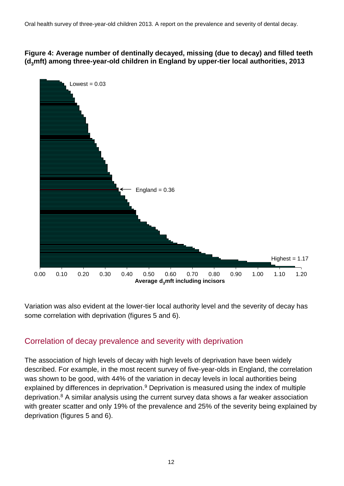#### **Figure 4: Average number of dentinally decayed, missing (due to decay) and filled teeth (d3mft) among three-year-old children in England by upper-tier local authorities, 2013**



Variation was also evident at the lower-tier local authority level and the severity of decay has some correlation with deprivation (figures 5 and 6).

### Correlation of decay prevalence and severity with deprivation

The association of high levels of decay with high levels of deprivation have been widely described. For example, in the most recent survey of five-year-olds in England, the correlation was shown to be good, with 44% of the variation in decay levels in local authorities being explained by differences in deprivation.<sup>9</sup> Deprivation is measured using the index of multiple deprivation.<sup>8</sup> A similar analysis using the current survey data shows a far weaker association with greater scatter and only 19% of the prevalence and 25% of the severity being explained by deprivation (figures 5 and 6).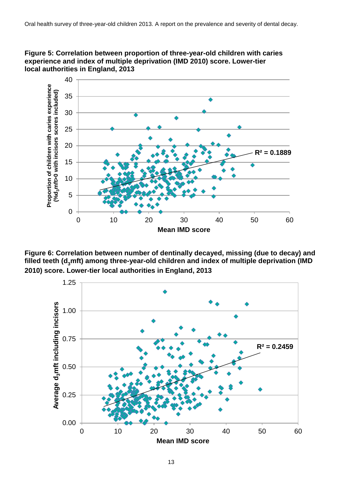



**Figure 6: Correlation between number of dentinally decayed, missing (due to decay) and filled teeth (d3mft) among three-year-old children and index of multiple deprivation (IMD 2010) score. Lower-tier local authorities in England, 2013**

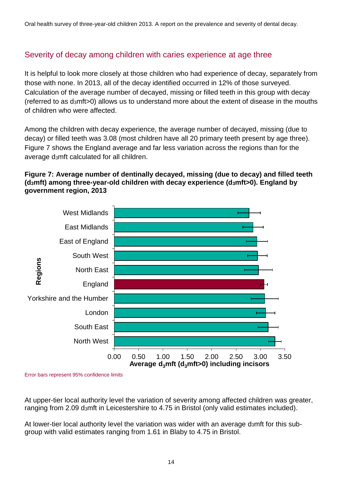### Severity of decay among children with caries experience at age three

It is helpful to look more closely at those children who had experience of decay, separately from those with none. In 2013, all of the decay identified occurred in 12% of those surveyed. Calculation of the average number of decayed, missing or filled teeth in this group with decay (referred to as d3mft>0) allows us to understand more about the extent of disease in the mouths of children who were affected.

Among the children with decay experience, the average number of decayed, missing (due to decay) or filled teeth was 3.08 (most children have all 20 primary teeth present by age three). Figure 7 shows the England average and far less variation across the regions than for the average d3mft calculated for all children.

#### **Figure 7: Average number of dentinally decayed, missing (due to decay) and filled teeth (d3mft) among three-year-old children with decay experience (d3mft>0). England by government region, 2013**



Error bars represent 95% confidence limits

At upper-tier local authority level the variation of severity among affected children was greater, ranging from 2.09 d<sub>3</sub>mft in Leicestershire to 4.75 in Bristol (only valid estimates included).

At lower-tier local authority level the variation was wider with an average d3mft for this subgroup with valid estimates ranging from 1.61 in Blaby to 4.75 in Bristol.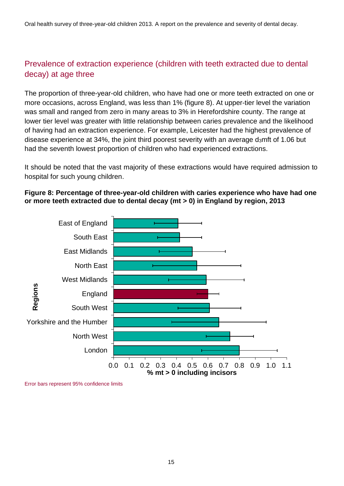### Prevalence of extraction experience (children with teeth extracted due to dental decay) at age three

The proportion of three-year-old children, who have had one or more teeth extracted on one or more occasions, across England, was less than 1% (figure 8). At upper-tier level the variation was small and ranged from zero in many areas to 3% in Herefordshire county. The range at lower tier level was greater with little relationship between caries prevalence and the likelihood of having had an extraction experience. For example, Leicester had the highest prevalence of disease experience at 34%, the joint third poorest severity with an average d<sub>3</sub>mft of 1.06 but had the seventh lowest proportion of children who had experienced extractions.

It should be noted that the vast majority of these extractions would have required admission to hospital for such young children.

#### **Figure 8: Percentage of three-year-old children with caries experience who have had one or more teeth extracted due to dental decay (mt > 0) in England by region, 2013**



Error bars represent 95% confidence limits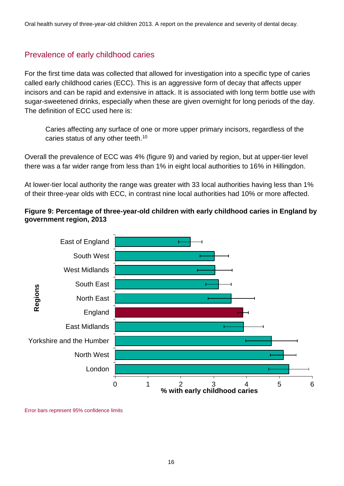### Prevalence of early childhood caries

For the first time data was collected that allowed for investigation into a specific type of caries called early childhood caries (ECC). This is an aggressive form of decay that affects upper incisors and can be rapid and extensive in attack. It is associated with long term bottle use with sugar-sweetened drinks, especially when these are given overnight for long periods of the day. The definition of ECC used here is:

Caries affecting any surface of one or more upper primary incisors, regardless of the caries status of any other teeth.<sup>10</sup>

Overall the prevalence of ECC was 4% (figure 9) and varied by region, but at upper-tier level there was a far wider range from less than 1% in eight local authorities to 16% in Hillingdon.

At lower-tier local authority the range was greater with 33 local authorities having less than 1% of their three-year olds with ECC, in contrast nine local authorities had 10% or more affected.

#### **Figure 9: Percentage of three-year-old children with early childhood caries in England by government region, 2013**



Error bars represent 95% confidence limits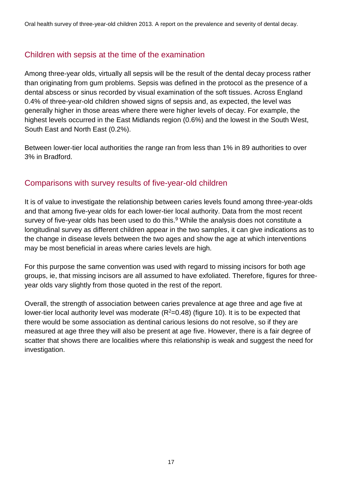### Children with sepsis at the time of the examination

Among three-year olds, virtually all sepsis will be the result of the dental decay process rather than originating from gum problems. Sepsis was defined in the protocol as the presence of a dental abscess or sinus recorded by visual examination of the soft tissues. Across England 0.4% of three-year-old children showed signs of sepsis and, as expected, the level was generally higher in those areas where there were higher levels of decay. For example, the highest levels occurred in the East Midlands region (0.6%) and the lowest in the South West, South East and North East (0.2%).

Between lower-tier local authorities the range ran from less than 1% in 89 authorities to over 3% in Bradford.

#### Comparisons with survey results of five-year-old children

It is of value to investigate the relationship between caries levels found among three-year-olds and that among five-year olds for each lower-tier local authority. Data from the most recent survey of five-year olds has been used to do this.<sup>9</sup> While the analysis does not constitute a longitudinal survey as different children appear in the two samples, it can give indications as to the change in disease levels between the two ages and show the age at which interventions may be most beneficial in areas where caries levels are high.

For this purpose the same convention was used with regard to missing incisors for both age groups, ie, that missing incisors are all assumed to have exfoliated. Therefore, figures for threeyear olds vary slightly from those quoted in the rest of the report.

Overall, the strength of association between caries prevalence at age three and age five at lower-tier local authority level was moderate  $(R^2=0.48)$  (figure 10). It is to be expected that there would be some association as dentinal carious lesions do not resolve, so if they are measured at age three they will also be present at age five. However, there is a fair degree of scatter that shows there are localities where this relationship is weak and suggest the need for investigation.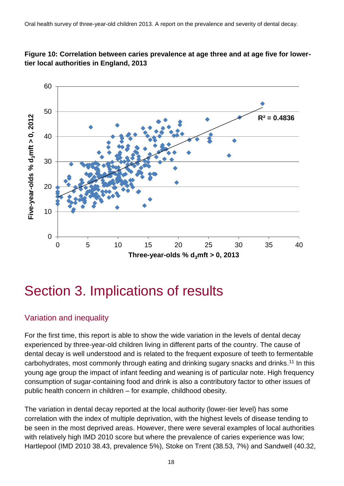

#### **Figure 10: Correlation between caries prevalence at age three and at age five for lowertier local authorities in England, 2013**

### Section 3. Implications of results

### Variation and inequality

For the first time, this report is able to show the wide variation in the levels of dental decay experienced by three-year-old children living in different parts of the country. The cause of dental decay is well understood and is related to the frequent exposure of teeth to fermentable carbohydrates, most commonly through eating and drinking sugary snacks and drinks.<sup>11</sup> In this young age group the impact of infant feeding and weaning is of particular note. High frequency consumption of sugar-containing food and drink is also a contributory factor to other issues of public health concern in children – for example, childhood obesity.

The variation in dental decay reported at the local authority (lower-tier level) has some correlation with the index of multiple deprivation, with the highest levels of disease tending to be seen in the most deprived areas. However, there were several examples of local authorities with relatively high IMD 2010 score but where the prevalence of caries experience was low; Hartlepool (IMD 2010 38.43, prevalence 5%), Stoke on Trent (38.53, 7%) and Sandwell (40.32,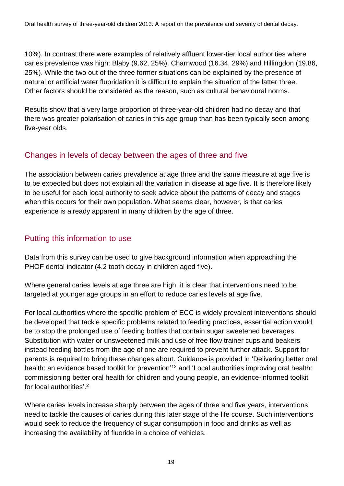10%). In contrast there were examples of relatively affluent lower-tier local authorities where caries prevalence was high: Blaby (9.62, 25%), Charnwood (16.34, 29%) and Hillingdon (19.86, 25%). While the two out of the three former situations can be explained by the presence of natural or artificial water fluoridation it is difficult to explain the situation of the latter three. Other factors should be considered as the reason, such as cultural behavioural norms.

Results show that a very large proportion of three-year-old children had no decay and that there was greater polarisation of caries in this age group than has been typically seen among five-year olds.

### Changes in levels of decay between the ages of three and five

The association between caries prevalence at age three and the same measure at age five is to be expected but does not explain all the variation in disease at age five. It is therefore likely to be useful for each local authority to seek advice about the patterns of decay and stages when this occurs for their own population. What seems clear, however, is that caries experience is already apparent in many children by the age of three.

### Putting this information to use

Data from this survey can be used to give background information when approaching the PHOF dental indicator (4.2 tooth decay in children aged five).

Where general caries levels at age three are high, it is clear that interventions need to be targeted at younger age groups in an effort to reduce caries levels at age five.

For local authorities where the specific problem of ECC is widely prevalent interventions should be developed that tackle specific problems related to feeding practices, essential action would be to stop the prolonged use of feeding bottles that contain sugar sweetened beverages. Substitution with water or unsweetened milk and use of free flow trainer cups and beakers instead feeding bottles from the age of one are required to prevent further attack. Support for parents is required to bring these changes about. Guidance is provided in 'Delivering better oral health: an evidence based toolkit for prevention<sup>'12</sup> and 'Local authorities improving oral health: commissioning better oral health for children and young people, an evidence-informed toolkit for local authorities'. 2

Where caries levels increase sharply between the ages of three and five years, interventions need to tackle the causes of caries during this later stage of the life course. Such interventions would seek to reduce the frequency of sugar consumption in food and drinks as well as increasing the availability of fluoride in a choice of vehicles.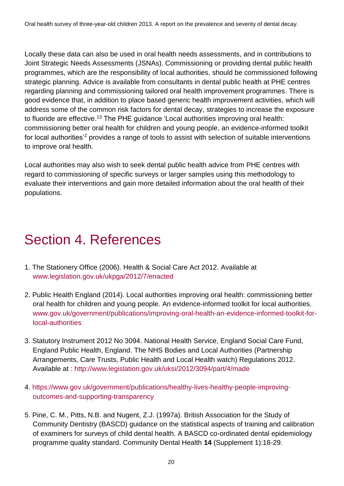Locally these data can also be used in oral health needs assessments, and in contributions to Joint Strategic Needs Assessments (JSNAs). Commissioning or providing dental public health programmes, which are the responsibility of local authorities, should be commissioned following strategic planning. Advice is available from consultants in dental public health at PHE centres regarding planning and commissioning tailored oral health improvement programmes. There is good evidence that, in addition to place based generic health improvement activities, which will address some of the common risk factors for dental decay, strategies to increase the exposure to fluoride are effective.<sup>13</sup> The PHE guidance 'Local authorities improving oral health: commissioning better oral health for children and young people, an evidence-informed toolkit for local authorities'<sup>2</sup> provides a range of tools to assist with selection of suitable interventions to improve oral health.

Local authorities may also wish to seek dental public health advice from PHE centres with regard to commissioning of specific surveys or larger samples using this methodology to evaluate their interventions and gain more detailed information about the oral health of their populations.

# Section 4. References

- 1. The Stationery Office (2006). Health & Social Care Act 2012. Available at [www.legislation.gov.uk/ukpga/2012/7/enacted](http://www.legislation.gov.uk/ukpga/2012/7/enacted)
- 2. Public Health England (2014). Local authorities improving oral health: commissioning better oral health for children and young people. An evidence-informed toolkit for local authorities. [www.gov.uk/government/publications/improving-oral-health-an-evidence-informed-toolkit-for](http://www.gov.uk/government/publications/improving-oral-health-an-evidence-informed-toolkit-for-local-authorities)[local-authorities](http://www.gov.uk/government/publications/improving-oral-health-an-evidence-informed-toolkit-for-local-authorities)
- 3. Statutory Instrument 2012 No 3094. National Health Service, England Social Care Fund, England Public Health, England. The NHS Bodies and Local Authorities (Partnership Arrangements, Care Trusts, Public Health and Local Health watch) Regulations 2012. Available at :<http://www.legislation.gov.uk/uksi/2012/3094/part/4/made>
- 4. [https://www.gov.uk/government/publications/healthy-lives-healthy-people-improving](https://www.gov.uk/government/publications/healthy-lives-healthy-people-improving-outcomes-and-supporting-transparency)[outcomes-and-supporting-transparency](https://www.gov.uk/government/publications/healthy-lives-healthy-people-improving-outcomes-and-supporting-transparency)
- 5. Pine, C. M., Pitts, N.B. and Nugent, Z.J. (1997a). British Association for the Study of Community Dentistry (BASCD) guidance on the statistical aspects of training and calibration of examiners for surveys of child dental health. A BASCD co-ordinated dental epidemiology programme quality standard. Community Dental Health **14** (Supplement 1):18-29.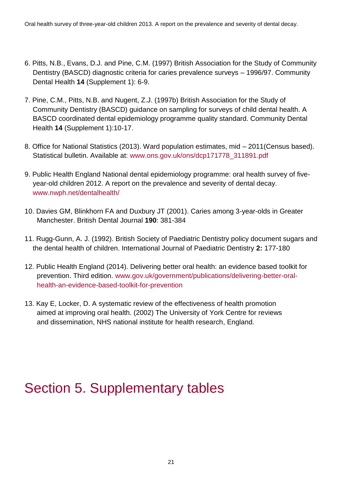- 6. Pitts, N.B., Evans, D.J. and Pine, C.M. (1997) British Association for the Study of Community Dentistry (BASCD) diagnostic criteria for caries prevalence surveys – 1996/97. Community Dental Health **14** (Supplement 1): 6-9.
- 7. Pine, C.M., Pitts, N.B. and Nugent, Z.J. (1997b) British Association for the Study of Community Dentistry (BASCD) guidance on sampling for surveys of child dental health. A BASCD coordinated dental epidemiology programme quality standard. Community Dental Health **14** (Supplement 1):10-17.
- 8. Office for National Statistics (2013). Ward population estimates, mid 2011(Census based). Statistical bulletin. Available at: [www.ons.gov.uk/ons/dcp171778\\_311891.pdf](http://www.ons.gov.uk/ons/dcp171778_311891.pdf)
- 9. Public Health England National dental epidemiology programme: oral health survey of fiveyear-old children 2012. A report on the prevalence and severity of dental decay. [www.nwph.net/dentalhealth/](http://www.nwph.net/dentalhealth/)
- 10. Davies GM, Blinkhorn FA and Duxbury JT (2001). Caries among 3-year-olds in Greater Manchester. British Dental Journal **190**: 381-384
- 11. Rugg-Gunn, A. J. (1992). British Society of Paediatric Dentistry policy document sugars and the dental health of children. International Journal of Paediatric Dentistry **2:** 177-180
- 12. Public Health England (2014). Delivering better oral health: an evidence based toolkit for prevention. Third edition. [www.gov.uk/government/publications/delivering-better-oral](http://www.gov.uk/government/publications/delivering-better-oral-health-an-evidence-based-toolkit-for-prevention)[health-an-evidence-based-toolkit-for-prevention](http://www.gov.uk/government/publications/delivering-better-oral-health-an-evidence-based-toolkit-for-prevention)
- 13. Kay E, Locker, D. A systematic review of the effectiveness of health promotion aimed at improving oral health. (2002) The University of York Centre for reviews and dissemination, NHS national institute for health research, England.

# Section 5. Supplementary tables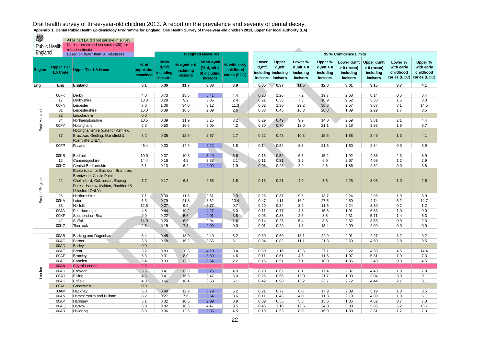| ₩<br><b>Public Health</b> |                                     | All or part LA did not partake in survey<br>Number examined too small (<30) for<br>robust estimate                                                           |                                |                                                          |                                                 |                                                                             |                                           |                                             |                                             |                                                   |                                                   |                                                                   |                                                          |                                                    |                                                    |
|---------------------------|-------------------------------------|--------------------------------------------------------------------------------------------------------------------------------------------------------------|--------------------------------|----------------------------------------------------------|-------------------------------------------------|-----------------------------------------------------------------------------|-------------------------------------------|---------------------------------------------|---------------------------------------------|---------------------------------------------------|---------------------------------------------------|-------------------------------------------------------------------|----------------------------------------------------------|----------------------------------------------------|----------------------------------------------------|
| England                   |                                     | Based on fewer than 30 volunteers                                                                                                                            |                                |                                                          |                                                 | <b>Weighted Measures</b>                                                    |                                           |                                             |                                             |                                                   |                                                   | 95 % Confidence Limits                                            |                                                          |                                                    |                                                    |
| <b>Region</b>             | <b>Upper Tier</b><br><b>LA Code</b> | <b>Upper Tier LA Name</b>                                                                                                                                    | % of<br>population<br>examined | <b>Mean</b><br>$d_3$ mft<br>including<br><b>incisors</b> | % $d_3$ mft > 0<br>including<br><b>incisors</b> | Mean d <sub>a</sub> mft<br>(% $d3$ mft ><br>0) including<br><b>incisors</b> | % with early<br>childhood<br>caries (ECC) | Lower<br>$d_3$ mft<br>including<br>incisors | Upper<br>$d_3$ mft<br>inclusing<br>incisors | Lower %<br>$d_3$ mft > 0<br>including<br>incisors | Upper %<br>$d_3$ mft > 0<br>including<br>incisors | Lower $\mathsf{d}_3$ mft<br>$> 0$ (mean)<br>including<br>incisors | Upper $d_3$ mft<br>$> 0$ (mean)<br>including<br>incisors | Lower %<br>with early<br>childhood<br>caries (ECC) | Upper %<br>with early<br>childhood<br>caries (ECC) |
| Eng                       | Eng                                 | England                                                                                                                                                      | 8.1                            | 0.36                                                     | 11.7                                            | 3.08                                                                        | 3.9                                       | 0.35                                        | 0.37                                        | 11.5                                              | 12.0                                              | 3.01                                                              | 3.15                                                     | 3.7                                                | 4.1                                                |
|                           | 00FK                                |                                                                                                                                                              | 4.0                            | 0.73                                                     | 13.5                                            | 5.41                                                                        | 4.4                                       | 0.20                                        | 1.26                                        | 7.2                                               | 19.7                                              | 2.68                                                              | 8.14                                                     | 0.5                                                | 8.4                                                |
|                           | 17                                  | Derby<br>Derbyshire                                                                                                                                          | 13.3                           | 0.28                                                     | 9.2                                             | 3.05                                                                        | 2.4                                       | 0.21                                        | 0.35                                        | 7.5                                               | 10.9                                              | 2.52                                                              | 3.58                                                     | 1.5                                                | 3.3                                                |
|                           | 00FN                                | Leicester                                                                                                                                                    | 7.6                            | 1.06                                                     | 34.0                                            | 3.12                                                                        | 11.3                                      | 0.82                                        | 1.30                                        | 29.2                                              | 38.8                                              | 2.57                                                              | 3.67                                                     | 8.1                                                | 14.5                                               |
|                           | 31                                  | Leicestershire                                                                                                                                               | 16.0                           | 0.39                                                     | 18.6                                            | 2.09                                                                        | 2.6                                       | 0.33                                        | 0.45                                        | 16.3                                              | 20.8                                              | 1.89                                                              | 2.29                                                     | 1.7                                                | 3.5                                                |
| East Midlands             | 32                                  | Lincolnshire                                                                                                                                                 | 0.0                            |                                                          |                                                 |                                                                             |                                           |                                             |                                             |                                                   |                                                   |                                                                   |                                                          |                                                    |                                                    |
|                           | 34                                  | Northamptonshire                                                                                                                                             | 10.5                           | 0.39                                                     | 11.9                                            | 3.25                                                                        | 3.2                                       | 0.29                                        | 0.49                                        | 9.9                                               | 14.0                                              | 2.69                                                              | 3.81                                                     | 2.1                                                | 4.4                                                |
|                           | 00FY                                | Nottingham                                                                                                                                                   | 6.5                            | 0.50                                                     | 16.6                                            | 3.05                                                                        | 4.2                                       | 0.30                                        | 0.70                                        | 12.0                                              | 21.1                                              | 2.18                                                              | 3.92                                                     | 1.6                                                | 6.7                                                |
|                           | 37                                  | Nottinghamshire (data for Ashfield,<br>Broxtowe, Gedling, Mansfield &<br>Rushcliffe ONLY)                                                                    | 8.2                            | 0.35                                                     | 12.9                                            | 2.67                                                                        | 2.7                                       | 0.22                                        | 0.48                                        | 10.3                                              | 15.5                                              | 1.88                                                              | 3.46                                                     | 1.3                                                | 4.1                                                |
|                           | 00FP                                | Rutland                                                                                                                                                      | 46.4                           | 0.33                                                     | 14.9                                            | 2.22                                                                        | 1.8                                       | 0.14                                        | 0.52                                        | 8.3                                               | 21.5                                              | 1.60                                                              | 2.84                                                     | 0.0                                                | 3.9                                                |
|                           |                                     |                                                                                                                                                              |                                |                                                          |                                                 |                                                                             |                                           |                                             |                                             |                                                   |                                                   |                                                                   |                                                          |                                                    |                                                    |
|                           | 00KB                                | Bedford                                                                                                                                                      | 10.0                           | 0.37                                                     | 10.8                                            | 3.40                                                                        | 5.6                                       | 0.15                                        | 0.59                                        | 6.5                                               | 15.2                                              | 1.92                                                              | 4.88                                                     | 2.3                                                | 8.9                                                |
|                           | 12<br>00KC                          | Cambridgeshire<br>Central Bedfordshire                                                                                                                       | 14.4<br>6.1                    | 0.16<br>0.13                                             | 4.8<br>6.2                                      | 3.38<br>2.09                                                                | 2.1<br>1.9                                | 0.11<br>0.03                                | 0.21<br>0.23                                | 3.5<br>2.9                                        | 6.0<br>9.6                                        | 2.67<br>1.86                                                      | 4.09<br>2.32                                             | 1.2<br>0.0                                         | 2.9<br>3.8                                         |
| East of England           | 22                                  | Essex (data for Basildon, Braintree,<br>Brentwood, Castle Point,<br>Chelmsford, Colchester, Epping<br>Forest, Harlow, Maldon, Rochford &<br>Uttlesford ONLY) | 7.7                            | 0.17                                                     | 6.3                                             | 2.65                                                                        | 1.8                                       | 0.13                                        | 0.21                                        | 4.9                                               | 7.6                                               | 2.25                                                              | 3.05                                                     | 1.0                                                | 2.5                                                |
|                           | 26                                  | Hertfordshire                                                                                                                                                | 7.1                            | 0.30                                                     | 11.6                                            | 2.61                                                                        | 2.9                                       | 0.23                                        | 0.37                                        | 9.6                                               | 13.7                                              | 2.24                                                              | 2.98                                                     | 1.9                                                | 3.9                                                |
|                           | 00KA                                | Luton                                                                                                                                                        | 6.3                            | 0.79                                                     | 21.8                                            | 3.62                                                                        | 10.4                                      | 0.47                                        | 1.11                                        | 16.2                                              | 27.5                                              | 2.50                                                              | 4.74                                                     | 6.2                                                | 14.7                                               |
|                           | 33                                  | Norfolk                                                                                                                                                      | 12.5                           | 0.27                                                     | 9.9                                             | 2.77                                                                        | 0.7                                       | 0.20                                        | 0.34                                        | 8.2                                               | 11.6                                              | 2.24                                                              | 3.30                                                     | 0.2                                                | 1.2                                                |
|                           | 00JA                                | Peterborough                                                                                                                                                 | 4.8                            | 0.44                                                     | 10.2                                            | 4.27                                                                        | 5.0                                       | 0.11                                        | 0.77                                        | 4.8                                               | 15.6                                              | 1.91                                                              | 6.63                                                     | 1.0                                                | 9.0                                                |
|                           | 00KF                                | Southend-on-Sea                                                                                                                                              | 9.9                            | 0.22                                                     | 5.6                                             | 4.01                                                                        | 3.8                                       | 0.06                                        | 0.38                                        | 2.6                                               | 8.5                                               | 2.31                                                              | 5.71                                                     | 1.4                                                | 6.3                                                |
|                           | 42                                  | Suffolk                                                                                                                                                      | 14.9                           | 0.20                                                     | 6.9                                             | 2.94                                                                        | 1.6                                       | 0.14                                        | 0.26                                        | 5.4                                               | 8.3                                               | 2.32                                                              | 3.56                                                     | 0.9                                                | 2.3                                                |
|                           | 00KG                                | Thurrock                                                                                                                                                     | 2.6                            | 0.15                                                     | 7.3                                             | 2.09                                                                        | 0.0                                       | 0.01                                        | 0.29                                        | 1.3                                               | 13.4                                              | 2.09                                                              | 2.09                                                     | 0.0                                                | 0.0                                                |
|                           |                                     |                                                                                                                                                              |                                |                                                          |                                                 |                                                                             |                                           |                                             |                                             |                                                   |                                                   |                                                                   |                                                          |                                                    |                                                    |
|                           | 00AB                                | Barking and Dagenham                                                                                                                                         | 6.4                            | 0.45                                                     | 18.0                                            | 2.49                                                                        | 6.2                                       | 0.30                                        | 0.60                                        | 13.1                                              | 22.9                                              | 2.01                                                              | 2.97                                                     | 3.2                                                | 9.2                                                |
|                           | 00AC                                | Barnet                                                                                                                                                       | 3.8                            | 0.58                                                     | 16.2                                            | 3.55                                                                        | 6.1                                       | 0.34                                        | 0.82                                        | 11.1                                              | 21.3                                              | 2.50                                                              | 4.60                                                     | 2.8                                                | 9.5                                                |
|                           | 00AD                                | <b>Bexley</b>                                                                                                                                                | 0.0                            |                                                          |                                                 |                                                                             |                                           |                                             |                                             |                                                   |                                                   |                                                                   |                                                          |                                                    |                                                    |
|                           | 00AE                                | <b>Brent</b>                                                                                                                                                 | 3.2                            | 0.83                                                     | 20.3                                            | 4.10                                                                        | 9.4                                       | 0.50                                        | 1.16                                        | 13.5                                              | 27.1                                              | 3.22                                                              | 4.98                                                     | 4.5                                                | 14.4                                               |
|                           | 00AF                                | Bromley                                                                                                                                                      | 5.3                            | 0.31                                                     | 8.0                                             | 3.89                                                                        | 4.6                                       | 0.11                                        | 0.51                                        | 4.5                                               | 11.5                                              | 1.97                                                              | 5.81                                                     | 1.9                                                | 7.3                                                |
|                           | 00AG                                | Camden                                                                                                                                                       | 6.4                            | 0.33                                                     | 12.5                                            | 2.64                                                                        | 2.2                                       | 0.15                                        | 0.51                                        | 7.1                                               | 18.0                                              | 1.85                                                              | 3.43                                                     | 0.0                                                | 4.5                                                |
|                           | 00AA                                | City of London                                                                                                                                               | 2.2                            |                                                          |                                                 |                                                                             |                                           |                                             |                                             |                                                   |                                                   |                                                                   |                                                          |                                                    |                                                    |
| London                    | 00AH                                | Croydon                                                                                                                                                      | 3.5                            | 0.41                                                     | 12.8                                            | 3.25                                                                        | 4.9                                       | 0.20                                        | 0.62                                        | 8.1                                               | 17.4                                              | 2.07                                                              | 4.43                                                     | 1.9                                                | 7.9                                                |
|                           | 00AJ                                | Ealing                                                                                                                                                       | 4.6                            | 0.41                                                     | 16.8                                            | 2.47                                                                        | 6.0                                       | 0.26                                        | 0.56                                        | 12.0                                              | 21.7                                              | 1.90                                                              | 3.04                                                     | 3.0                                                | 9.1                                                |
|                           | 00AK                                | Enfield                                                                                                                                                      | 4.3                            | 0.66                                                     | 18.4                                            | 3.58                                                                        | 5.1                                       | 0.42                                        | 0.90                                        | 13.2                                              | 23.7                                              | 2.72                                                              | 4.44                                                     | 2.1                                                | 8.1                                                |
|                           | 00AL                                | Greenwich                                                                                                                                                    | 0.0                            |                                                          |                                                 |                                                                             |                                           |                                             |                                             |                                                   |                                                   |                                                                   |                                                          |                                                    |                                                    |
|                           | 00AM                                | Hackney                                                                                                                                                      | 5.0                            | 0.49                                                     | 12.9                                            | 3.79                                                                        | 5.2                                       | 0.21                                        | 0.77                                        | 8.0                                               | 17.9                                              | 2.39                                                              | 5.19                                                     | 1.8                                                | 8.5                                                |
|                           | 00AN                                | Hammersmith and Fulham                                                                                                                                       | 8.2                            | 0.27                                                     | 7.6                                             | 3.54                                                                        | 3.6                                       | 0.11                                        | 0.43                                        | 4.0                                               | 11.3                                              | 2.19                                                              | 4.89                                                     | 1.0                                                | 6.1                                                |
|                           | 00AP<br>00AQ                        | Haringey                                                                                                                                                     | 5.1<br>5.9                     | 0.32<br>0.82                                             | 10.6<br>18.3                                    | 2.99<br>4.47                                                                | 3.9<br>9.5                                | 0.09<br>0.46                                | 0.55                                        | 5.6<br>12.5                                       | 15.6<br>24.0                                      | 1.36<br>3.08                                                      | 4.62<br>5.86                                             | 0.7<br>5.2                                         | 7.0<br>13.7                                        |
|                           |                                     | Harrow                                                                                                                                                       | 6.9                            | 0.36                                                     | 12.5                                            | 2.85                                                                        |                                           |                                             | 1.18<br>0.53                                | 8.0                                               |                                                   |                                                                   | 3.81                                                     |                                                    |                                                    |
|                           | 00AR                                | Havering                                                                                                                                                     |                                |                                                          |                                                 |                                                                             | 4.5                                       | 0.19                                        |                                             |                                                   | 16.9                                              | 1.89                                                              |                                                          | 1.7                                                | 7.3                                                |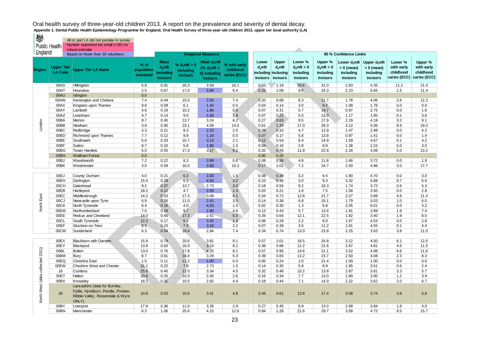All or part LA did not partake in survey

燃

England **England Based on fewer than 30 volunteers Region Upper Tier LA Code Upper Tier LA Name % of population examined Mean d3mft including incisors % d3mft > 0 including incisors Mean d3mft (% d3mft > 0) including incisors % with early childhood caries (ECC) Lower d3mft including inclusing incisors Upper d3mft incisors Lower % d3mft > 0 including incisors Upper % d3mft > 0 including incisors Lower d3mft > 0 (mean) including incisors Upper d3mft > 0 (mean) including incisors Lower % with early childhood caries (ECC) caries (ECC) Upper % with early childhood**  00AS Hillingdon 5.8 0.91 25.3 3.59 16.1 0.63 1.19 19.6 31.0 2.83 4.35 11.2 21.0 00AT Hounslow 2.5 0.67 17.0 3.94 6.4 0.25 1.09 9.6 2.4.3 2.23 5.65 1.5 11.4 0.0 On all islington and the contract of the contract of the contract of the contract of the contract of the contract of the contract of the contract of the contract of the contract of the contract of the contract of the c 00AW Kensington and Chelsea 7.4 0.44 15.0 2.92 7.4 0.20 0.68 8.3 21.7 1.78 4.06 2.6 12.2 00AX |Kingston upon Thames 9.8 0.09 6.1 1.42 0.0 0.04 0.14 3.0 9.2 1.08 1.76 0.0 0.0 00AY Lambeth 4.6 0.19 1.0.2 1.86 0.07 0.31 5.7 14.7 0.97 2.75 0.0 1.6 00AZ Lewisham 4.7 0.14 9.0 1.56 1.8 0.07 0.21 5.0 13.0 1.17 1.95 0.1 3.6 00BA Merton 8.7 0.45 13.7 3.24 6.2 0.27 0.63 9.5 17.9 2.29 4.19 3.2 9.1 00BB Newham 3.8 0.95 23.1 4.09 14.0 0.61 1.29 17.0 29.3 3.12 5.06 8.9 19.0 00BC Redbridge 3.3 0.21 9.3 2.23 2.0 0.09 0.33 4.7 13.9 1.47 2.99 0.0 4.2 00BD Richmond upon Thames | 7.7 | 0.12 | 9.8 | 1.19 | 0.5 | | 0.07 | 0.17 | 5.8 | 13.8 | 0.97 | 1.41 | 0.0 | 1.4 00BE Southwark | 5.6 | 0.33 | 10.7 | 3.13 | 2.1 | | 0.12 | 0.54 | 6.4 | 14.9 | 1.59 | 4.67 | 0.1 | 4.2 00BF Sutton 8.7 0.10 5.8 1.80 1.5 0.04 0.16 2.8 8.8 1.38 2.22 0.0 3.0 00BG Tower Hamlets 5.0 0.55 17.3 3.17 9.1 0.32 0.78 11.9 2.28 2.26 4.08 5.0 13.2 00BH Waltham Forest 0.0 0.000 0.25 00BJ |Wandsworth 7.2 | 0.22 | 8.3 2.69 0.8 | 0.08 | 0.36 4.8 | 11.8 | 1.66 | 3.72 | 0.0 | 1.9 00BK Westminster | 3.0 | 0.59 | 16.0 | 3.68 | 10.3 | 0.17 | 1.01 | 7.2 | 24.7 | 2.50 | 4.86 | 3.0 | 17.7 00EJ County Durham 4.0 0.21 6.3 3.30 1.5 0.08 0.34 3.2 9.4 1.90 4.70 0.0 3.0 00EH Darlington 15.5 0.28 6.2 4.50 3.2 0.10 0.46 3.0 9.3 3.32 5.68 0.7 5.6 00CH Gateshead 9.2 1 0.37 1 13.7 1 2.73 1 3.0 1 0.18 1 0.56 1 9.2 1 18.3 1 1.74 1 3.72 1 0.6 1 5.3 00EB |Hartlepool | 18.2 | 0.12 | 4.7 2.54 | \1.3 \ | 0.03 | 0.21 | 1.8 | 7.5 | 1.58 | 3.50 | 0.0 | 2.8 00EC Middlesbrough 14.2 0.53 17.3 3.08 8.1 0.34 0.72 12.8 21.7 2.27 3.89 4.8 11.4 00CJ Newcastle upon Tyne 6.9 0.26 11.0 2.41 3.5 | 0.14 0.38 15.1 1.79 3.03 1.0 6.0 00CK North Tyneside 8.4 0.16 4.0 4.03 1.5 0.02 0.30 1.3 6.8 2.05 6.01 0.0 3.2 00EM Northumberland 7.0 0.28 9.7 2.90 4.6 0.0.13 0.43 1.36 1.91 3.89 1.9 7.4 00EE Redcar and Cleveland 14.0 | 0.45 | 17.3 | 2.61 | 5.0 | 0.26 | 0.64 | 12.1 | 22.5 | 1.82 | 3.40 | 1.9 | 8.0 00CL South Tyneside 12.3 0.17 5.1 3.25 1.3 0.06 0.28 2.2 8.0 1.97 4.53 0.0 2.8 00EF Stockton-on-Tees 8.5 0.23 7.3 3.18 2.2 0.07 0.39 3.5 1.2 1.81 4.55 0.1 4.4 00CM Sunderland 6.3 0.54 18.4 2.94 7.4 0.34 0.74 13.0 23.8 2.25 3.63 3.8 11.0 00EX Blackburn with Darwen 15.9 0.79 20.6 3.81 9.1 0.57 1.01 16.5 24.8 3.12 4.50 6.1 12.0 00EY Blackpool | 13.9 | 0.63 \ 16.9 | 3.74 | 8.1 | | 0.38 | 0.88 | 12.2 | 21.6 | 2.67 | 4.81 | 4.6 | 11.5 00BL Bolton 13.0 0.76 17.8 4.25 9.1 0.57 0.95 14.6 21.1 3.52 4.98 6.6 11.6 00BM Bury 8.7 | 0.61 | 18.4 | 3.29 | 5.3 | | 0.39 | 0.83 | 13.2 | 23.7 | 2.50 | 4.08 | 2.3 | 8.3 00EQ Cheshire East 1.5 0.11 11.2 1.00 0.0 0.00 0.24 1.0 21.4 1.00 1.00 0.00 0.00 00EW Cheshire West and Chester  $\qquad$  21.1 | 0.22 | 7.9 | 2.73 | 1.5 | | 0.14 | 0.30 | 5.9 | 9.9 | 1.95 | 3.51 | 0.6 | 2.4 16 Cumbria 25.6 0.40 12.0 3.34 4.5 0.32 0.48 10.2 13.8 2.87 3.81 3.3 5.7 00ET Halton 33.8 0.25 10.3 2.45 2.6 0.16 0.34 7.7 13.0 1.90 3.00 1.2 3.9 00BX |Knowsley | 18.2 | 0.31 | 10.5 | 2.92 | 4.4 | | 0.18 | 0.44 | 7.1 | 14.0 | 2.22 | 3.62 | 2.0 | 6.7 30 Lancashire (data for Burnley, Fylde, Hyndburn, Pendle, Preston, Ribble Valley, Rossendale & Wyre ONLY) 10.8 0.53 15.6 3.41 4.8 0.45 0.61 13.8 17.4 3.08 3.74 3.8 5.8 00BY Liverpool | 17.9 | 0.36 | 11.0 | 3.26 | 2.9 | | 0.27 | 0.45 | 8.9 | 13.0 | 2.68 | 3.84 | 1.8 | 4.0 00BN Manchester 6.3 1.06 25.6 4.15 12.6 0.84 1.28 21.6 29.7 3.58 4.72 9.5 15.7 London North West (data collected 2011) North East Public Health Number examined too small (<30) for robust estimate **Weighted Measures 95 % Confidence Limits**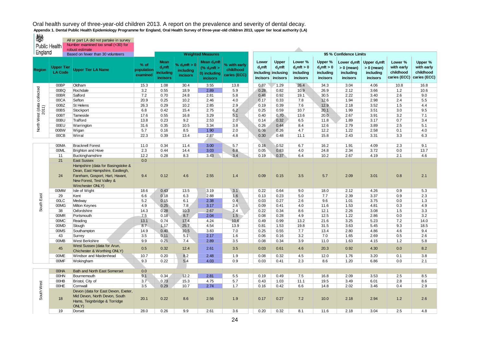| ₩<br><b>Public Health</b>           |                                     | All or part LA did not partake in survey<br>Number examined too small (<30) for<br>robust estimate                                                                              |                                  |                                                   |                                                 |                                                                            |                                           |                                       |                                                       |                                                   |                                                   |                                                                   |                                                          |                                                    |                                                    |
|-------------------------------------|-------------------------------------|---------------------------------------------------------------------------------------------------------------------------------------------------------------------------------|----------------------------------|---------------------------------------------------|-------------------------------------------------|----------------------------------------------------------------------------|-------------------------------------------|---------------------------------------|-------------------------------------------------------|---------------------------------------------------|---------------------------------------------------|-------------------------------------------------------------------|----------------------------------------------------------|----------------------------------------------------|----------------------------------------------------|
| England                             |                                     | Based on fewer than 30 volunteers                                                                                                                                               |                                  |                                                   |                                                 | <b>Weighted Measures</b>                                                   |                                           |                                       |                                                       |                                                   |                                                   | 95 % Confidence Limits                                            |                                                          |                                                    |                                                    |
| <b>Region</b>                       | <b>Upper Tier</b><br><b>LA Code</b> | <b>Upper Tier LA Name</b>                                                                                                                                                       | $%$ of<br>population<br>examined | Mean<br>$d_3$ mft<br>including<br><b>incisors</b> | % $d_3$ mft > 0<br>including<br><i>incisors</i> | Mean $d_3$ mft<br>% d <sub>3</sub> mt ><br>0) including<br><b>incisors</b> | % with early<br>childhood<br>caries (ECC) | Lower<br>$d_3$ mft<br><b>incisors</b> | Upper<br>$d_3$ mft<br>including inclusing<br>incisors | Lower %<br>$d_3$ mft > 0<br>including<br>incisors | Upper %<br>$d_3$ mft > 0<br>including<br>incisors | Lower d <sub>3</sub> mft<br>$> 0$ (mean)<br>including<br>incisors | Upper $d_3$ mft<br>$> 0$ (mean)<br>including<br>incisors | Lower %<br>with early<br>childhood<br>caries (ECC) | Upper %<br>with early<br>childhood<br>caries (ECC) |
|                                     | 00BP                                | Oldham                                                                                                                                                                          | 15.3                             | 1.08                                              | 30.4                                            | 3.55                                                                       | 13.8                                      | 0.87                                  | 1.29                                                  | 26.4                                              | 34.3                                              | 3.04                                                              | 4.06                                                     | 10.8                                               | 16.8                                               |
| North West (data collected<br>2011) | 00BQ                                | Rochdale                                                                                                                                                                        | 3.2                              | 0.55                                              | 18.9                                            | 2.89                                                                       | 5.9                                       | 0.28                                  | 0.82                                                  | 10.9                                              | 26.9                                              | 2.12                                                              | 3.66                                                     | 1.2                                                | 10.6                                               |
|                                     | 00BR                                | Salford                                                                                                                                                                         | 7.2                              | 0.70                                              | 24.8                                            | 2.81                                                                       | 5.8                                       | 0.48                                  | 0.92                                                  | 19.1                                              | 30.5                                              | 2.22                                                              | 3.40                                                     | 2.6                                                | 9.0                                                |
|                                     | 00CA                                | Sefton                                                                                                                                                                          | 20.9                             | 0.25                                              | 10.2                                            | 2.46                                                                       | 4.0                                       | 0.17                                  | 0.33                                                  | 7.8                                               | 12.6                                              | 1.94                                                              | 2.98                                                     | 2.4                                                | 5.5                                                |
|                                     | 00BZ                                | St Helens                                                                                                                                                                       | 26.3                             | 0.29                                              | 10.2                                            | 2.85                                                                       | 2.9                                       | 0.19                                  | 0.39                                                  | 7.6                                               | 12.9                                              | 2.18                                                              | 3.52                                                     | 1.5                                                | 4.4                                                |
|                                     | 00BS                                | Stockport                                                                                                                                                                       | 6.8                              | 0.42                                              | 15.4                                            | 2.75                                                                       | 6.2                                       | 0.25                                  | 0.59                                                  | 10.7                                              | 20.1                                              | 1.99                                                              | 3.51                                                     | 3.0                                                | 9.5                                                |
|                                     | 00BT                                | Tameside                                                                                                                                                                        | 17.6                             | 0.55                                              | 16.8                                            | 3.29                                                                       | 5.1                                       | 0.40                                  | 0.70                                                  | 13.6                                              | 20.0                                              | 2.67                                                              | 3.91                                                     | 3.2                                                | 7.1                                                |
|                                     | 00BU                                | Trafford                                                                                                                                                                        | 13.8                             | 0.23                                              | 9.2                                             | 2.53                                                                       | 2.0                                       | 0.14                                  | 0.32                                                  | 6.5                                               | 11.8                                              | 1.89                                                              | 3.17                                                     | 0.7                                                | 3.4                                                |
|                                     | 00EU                                | Warrington                                                                                                                                                                      | 31.6                             | 0.35                                              | 10.5                                            | 3.34                                                                       | 3.8                                       | 0.26                                  | 0.44                                                  | 8.4                                               | 12.6                                              | 2.79                                                              | 3.89                                                     | 2.5                                                | 5.1                                                |
|                                     | 00BW                                | Wigan                                                                                                                                                                           | 5.7                              | 0.16                                              | 8.5                                             | 1.90                                                                       | 2.0                                       | 0.06                                  | 0.26                                                  | 4.7                                               | 12.2                                              | 1.22                                                              | 2.58                                                     | 0.1                                                | 4.0                                                |
|                                     | 00CB                                | Wirral                                                                                                                                                                          | 22.3                             | 0.39                                              | 13.4                                            | 2.87                                                                       | 4.8                                       | 0.30                                  | 0.48                                                  | 11.1                                              | 15.8                                              | 2.43                                                              | 3.31                                                     | 3.3                                                | 6.3                                                |
|                                     |                                     |                                                                                                                                                                                 |                                  |                                                   |                                                 |                                                                            |                                           |                                       |                                                       |                                                   |                                                   |                                                                   |                                                          |                                                    |                                                    |
|                                     | 00MA                                | <b>Bracknell Forest</b>                                                                                                                                                         | 11.0                             | 0.34                                              | 11.4                                            | 3.00                                                                       | 5.7                                       | 0.16                                  | 0.52                                                  | 6.7                                               | 16.2                                              | 1.91                                                              | 4.09                                                     | 2.3                                                | 9.1                                                |
|                                     | 00ML                                | <b>Brighton and Hove</b>                                                                                                                                                        | 2.3                              | 0.44                                              | 14.4                                            | 3.03                                                                       | 6.8                                       | 0.05                                  | 0.83                                                  | 4.0                                               | 24.8                                              | 2.34                                                              | 3.72                                                     | 0.0                                                | 13.7                                               |
|                                     | 11<br>21                            | Buckinghamshire                                                                                                                                                                 | 12.2<br>0.0                      | 0.28                                              | 8.3                                             | 3.43                                                                       | 3.4                                       | 0.19                                  | 0.37                                                  | 6.4                                               | 10.2                                              | 2.67                                                              | 4.19                                                     | 2.1                                                | 4.6                                                |
|                                     | 24                                  | <b>East Sussex</b><br>Hampshire (data for Basingstoke &<br>Dean, East Hampshire, Eastleigh,<br>Fareham, Gosport, Hart, Havant,<br>New Forest, Test Valley &<br>Winchester ONLY) | 9.4                              | 0.12                                              | 4.6                                             | 2.55                                                                       | 1.4                                       | 0.09                                  | 0.15                                                  | 3.5                                               | 5.7                                               | 2.09                                                              | 3.01                                                     | 0.8                                                | 2.1                                                |
|                                     | 00MW                                | Isle of Wight                                                                                                                                                                   | 18.6                             | 0.43                                              | 13.5                                            | 3.19                                                                       | 3.1                                       | 0.22                                  | 0.64                                                  | 9.0                                               | 18.0                                              | 2.12                                                              | 4.26                                                     | 0.9                                                | 5.3                                                |
|                                     | 29                                  | Kent                                                                                                                                                                            | 6.6                              | 0.18                                              | 6.3                                             | 2.88                                                                       | 1.6                                       | 0.13                                  | 0.23                                                  | 5.0                                               | 7.7                                               | 2.39                                                              | 3.37                                                     | 0.9                                                | 2.3                                                |
| South East                          | 00LC                                | Medway                                                                                                                                                                          | 5.2                              | 0.15                                              | 6.1                                             | 2.38                                                                       | 0.4                                       | 0.03                                  | 0.27                                                  | 2.6                                               | 9.6                                               | 1.01                                                              | 3.75                                                     | 0.0                                                | 1.3                                                |
|                                     | 00MG                                | Milton Keynes                                                                                                                                                                   | 4.9                              | 0.25                                              | 7.8                                             | 3.17                                                                       | 2.6                                       | 0.09                                  | 0.41                                                  | 4.0                                               | 11.6                                              | 1.53                                                              | 4.81                                                     | 0.3                                                | 4.9                                                |
|                                     | 38                                  | Oxfordshire                                                                                                                                                                     | 14.3                             | 0.28                                              | 10.3                                            | 2.67                                                                       | 2.4                                       | 0.22                                  | 0.34                                                  | 8.6                                               | 12.1                                              | 2.26                                                              | 3.08                                                     | 1.5                                                | 3.3                                                |
|                                     | 00MR                                | Portsmouth                                                                                                                                                                      | 7.5                              | 0.18                                              | 8.7                                             | 2.04                                                                       | 1.5                                       | 0.08                                  | 0.28                                                  | 4.9                                               | 12.5                                              | 1.22                                                              | 2.86                                                     | 0.0                                                | 3.2                                                |
|                                     | 00MC                                | Reading                                                                                                                                                                         | 13.1                             | 0.74                                              | 17.4                                            | 4.24                                                                       | 10.6                                      | 0.49                                  | 0.99                                                  | 13.2                                              | 21.6                                              | 3.25                                                              | 5.23                                                     | 7.2                                                | 14.0                                               |
|                                     | 00MD                                | Slough                                                                                                                                                                          | 8.7                              | 1.17                                              | 25.7                                            | 4.54                                                                       | 13.9                                      | 0.81                                  | 1.53                                                  | 19.8                                              | 31.5                                              | 3.63                                                              | 5.45                                                     | 9.3                                                | 18.5                                               |
|                                     | 00MS                                | Southampton                                                                                                                                                                     | 14.9                             | 0.40                                              | 10.5                                            | 3.83                                                                       | 7.0                                       | 0.25                                  | 0.55                                                  | 7.7                                               | 13.4                                              | 2.80                                                              | 4.86                                                     | 4.6                                                | 9.4                                                |
|                                     | 43                                  | Surrey                                                                                                                                                                          | 3.5                              | 0.11                                              | 5.1                                             | 2.17                                                                       | 1.6                                       | 0.06                                  | 0.16                                                  | 3.2                                               | 7.0                                               | 1.65                                                              | 2.69                                                     | 0.5                                                | 2.6                                                |
|                                     | 00MB                                | West Berkshire                                                                                                                                                                  | 9.9                              | 0.21                                              | 7.4                                             | 2.89                                                                       | 3.5                                       | 0.08                                  | 0.34                                                  | 3.9                                               | 11.0                                              | 1.63                                                              | 4.15                                                     | 1.2                                                | 5.8                                                |
|                                     | 45                                  | West Sussex (data for Arun,<br>Chichester & Worthing ONLY)                                                                                                                      | 0.5                              | 0.32                                              | 12.4                                            | 2.61                                                                       | 3.5                                       | 0.03                                  | 0.61                                                  | 4.6                                               | 20.3                                              | 0.92                                                              | 4.30                                                     | 0.0                                                | 8.2                                                |
|                                     | 00ME                                | Windsor and Maidenhead                                                                                                                                                          | 10.7                             | 0.20                                              | 8.2                                             | 2.48                                                                       | 1.9                                       | 0.08                                  | 0.32                                                  | 4.5                                               | 12.0                                              | 1.76                                                              | 3.20                                                     | 0.1                                                | 3.8                                                |
|                                     | 00MF                                | Wokingham                                                                                                                                                                       | 9.3                              | 0.22                                              | 5.4                                             | 4.03                                                                       | 0.9                                       | 0.03                                  | 0.41                                                  | 2.3                                               | 8.6                                               | 1.20                                                              | 6.86                                                     | 0.0                                                | 2.1                                                |
|                                     |                                     |                                                                                                                                                                                 |                                  |                                                   |                                                 |                                                                            |                                           |                                       |                                                       |                                                   |                                                   |                                                                   |                                                          |                                                    |                                                    |
|                                     | 00HA                                | <b>Bath and North East Somerset</b>                                                                                                                                             | 0.0                              |                                                   |                                                 |                                                                            |                                           |                                       |                                                       |                                                   |                                                   |                                                                   |                                                          |                                                    |                                                    |
|                                     | 00HN                                | Bournemouth                                                                                                                                                                     | 9.1                              | 0.34                                              | 12.2                                            | 2.81                                                                       | 5.5                                       | 0.19                                  | 0.49                                                  | 7.5                                               | 16.8                                              | 2.09                                                              | 3.53                                                     | 2.5                                                | 8.5                                                |
|                                     | 00HB                                | Bristol, City of                                                                                                                                                                | 3.7                              | 0.73                                              | 15.3                                            | 4.75                                                                       | 5.7                                       | 0.43                                  | 1.03                                                  | 11.1                                              | 19.5                                              | 3.49                                                              | 6.01                                                     | 2.8                                                | 8.6                                                |
|                                     | 00HE                                | Cornwall                                                                                                                                                                        | 3.5                              | 0.29                                              | 10.7                                            | 2.74                                                                       | 1.7                                       | 0.16                                  | 0.42                                                  | 6.6                                               | 14.8                                              | 2.02                                                              | 3.46                                                     | 0.4                                                | 2.9                                                |
| South West                          | 18                                  | Devon (data for East Devon, Exeter,<br>Mid Devon, North Devon, South<br>Hams, Teignbridge & Torridge<br>ONLY)                                                                   | 20.1                             | 0.22                                              | 8.6                                             | 2.56                                                                       | 1.9                                       | 0.17                                  | 0.27                                                  | 7.2                                               | 10.0                                              | 2.18                                                              | 2.94                                                     | 1.2                                                | 2.6                                                |
|                                     | 19                                  | Dorset                                                                                                                                                                          | 28.0                             | 0.26                                              | 9.9                                             | 2.61                                                                       | 3.6                                       | 0.20                                  | 0.32                                                  | 8.1                                               | 11.6                                              | 2.18                                                              | 3.04                                                     | 2.5                                                | 4.8                                                |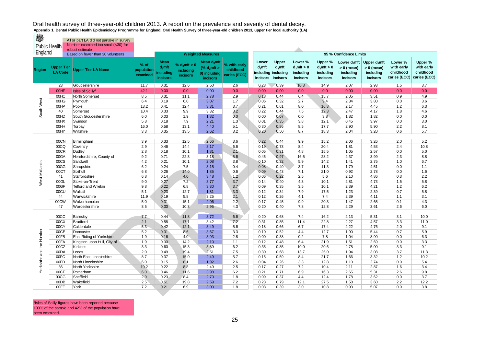| ₩<br><b>Public Health</b> |                                     | All or part LA did not partake in survey<br>Number examined too small (<30) for |                                  |                                                          |                                          |                                                                                                   |                                           |                                                              |                                       |                                                   |                                                   |                                                                                    |                                                          |                                                    |                                                    |
|---------------------------|-------------------------------------|---------------------------------------------------------------------------------|----------------------------------|----------------------------------------------------------|------------------------------------------|---------------------------------------------------------------------------------------------------|-------------------------------------------|--------------------------------------------------------------|---------------------------------------|---------------------------------------------------|---------------------------------------------------|------------------------------------------------------------------------------------|----------------------------------------------------------|----------------------------------------------------|----------------------------------------------------|
| England                   |                                     | robust estimate                                                                 |                                  |                                                          |                                          |                                                                                                   |                                           |                                                              |                                       |                                                   |                                                   |                                                                                    |                                                          |                                                    |                                                    |
| <b>Region</b>             | <b>Upper Tier</b><br><b>LA Code</b> | Based on fewer than 30 volunteers<br><b>Upper Tier LA Name</b>                  | $%$ of<br>population<br>examined | <b>Mean</b><br>$d_3$ mft<br>including<br><b>incisors</b> | % $d_3$ mft > 0<br>including<br>incisors | <b>Weighted Measures</b><br>Mean d <sub>3</sub> mft<br>(% $d_3$ mft ><br>0) including<br>incisors | % with early<br>childhood<br>caries (ECC) | Lower<br>$d_3$ mft<br>including inclusing<br><i>incisors</i> | <b>Upper</b><br>$d_3$ mft<br>incisors | Lower %<br>$d_3$ mft > 0<br>includina<br>incisors | Upper %<br>$d_3$ mft > 0<br>including<br>incisors | 95 % Confidence Limits<br>Lower $d_3$ mft<br>$> 0$ (mean)<br>including<br>incisors | Upper $d_3$ mft<br>$> 0$ (mean)<br>includina<br>incisors | Lower %<br>with early<br>childhood<br>caries (ECC) | Upper %<br>with early<br>childhood<br>caries (ECC) |
|                           | 23                                  | Gloucestershire                                                                 | 11.7                             | 0.31                                                     | 12.6                                     | 2.50                                                                                              | 2.6                                       | 0.23                                                         | 0.39                                  | 10.3                                              | 14.9                                              | 2.07                                                                               | 2.93                                                     | 1.5                                                | 3.7                                                |
|                           | 00HF                                | Isles of Scilly <sup>1</sup>                                                    | 42.1                             | 0.00                                                     | 0.0                                      | 0.00                                                                                              | 0.0                                       | 0.00                                                         | 0.00                                  | 0.0                                               | 0.0                                               | 0.00                                                                               | 0.00                                                     | 0.0                                                | 0.0                                                |
|                           | 00HC                                | North Somerset                                                                  | 8.5                              | 0.31                                                     | 11.1                                     | 2.78                                                                                              | 2.9                                       | 0.18                                                         | 0.44                                  | 6.4                                               | 15.7                                              | 2.05                                                                               | 3.51                                                     | 0.9                                                | 4.9                                                |
| South West                | 00HG                                | Plymouth                                                                        | 6.4                              | 0.19                                                     | 6.0                                      | 3.07                                                                                              | 1.7                                       | 0.06                                                         | 0.32                                  | 2.7                                               | 9.4                                               | 2.34                                                                               | 3.80                                                     | 0.0                                                | 3.6                                                |
|                           | 00HP                                | Poole                                                                           | 13.2                             | 0.41                                                     | 12.4                                     | 3.31                                                                                              | 3.7                                       | 0.21                                                         | 0.61                                  | 8.0                                               | 16.8                                              | 2.17                                                                               | 4.45                                                     | 1.2                                                | 6.3                                                |
|                           | 40                                  | Somerset                                                                        | 10.4                             | 0.33                                                     | 9.9                                      | 3.32                                                                                              | 3.2                                       | 0.22                                                         | 0.44                                  | 7.5                                               | 12.3                                              | 2.47                                                                               | 4.17                                                     | 1.8                                                | 4.6                                                |
|                           | 00HD                                | South Gloucestershire                                                           | 6.0                              | 0.03                                                     | 1.9                                      | 1.82                                                                                              | 0.0                                       | 0.00                                                         | 0.07                                  | 0.0                                               | 3.8                                               | 1.82                                                                               | 1.82                                                     | 0.0                                                | 0.0                                                |
|                           | 00HX                                | Swindon                                                                         | 5.8                              | 0.18                                                     | 7.9                                      | 2.21                                                                                              | 1.3                                       | 0.01                                                         | 0.35                                  | 3.8                                               | 12.1                                              | 0.45                                                                               | 3.97                                                     | 0.0                                                | 3.0                                                |
|                           | 00HH                                | Torbay                                                                          | 16.0                             | 0.58                                                     | 13.1                                     | 4.40                                                                                              | 5.1                                       | 0.30                                                         | 0.86                                  | 8.5                                               | 17.7                                              | 2.90                                                                               | 5.90                                                     | 2.2                                                | 8.1                                                |
|                           | 00HY                                | Wiltshire                                                                       | 3.3                              | 0.35                                                     | 13.5                                     | 2.62                                                                                              | 3.2                                       | 0.20                                                         | 0.50                                  | 8.7                                               | 18.3                                              | 2.04                                                                               | 3.20                                                     | 0.6                                                | 5.7                                                |
|                           |                                     |                                                                                 |                                  |                                                          |                                          |                                                                                                   |                                           |                                                              |                                       |                                                   |                                                   |                                                                                    |                                                          |                                                    |                                                    |
|                           | 00CN                                | Birmingham                                                                      | 3.9                              | 0.33                                                     | 12.5                                     | 2.66                                                                                              | 3.6                                       | 0.22                                                         | 0.44                                  | 9.9                                               | 15.2                                              | 2.06                                                                               | 3.26                                                     | 2.0                                                | 5.2                                                |
|                           | 00CQ                                | Coventry                                                                        | 2.9                              | 0.46                                                     | 14.4                                     | 3.17                                                                                              | 6.6                                       | 0.19                                                         | 0.73                                  | 8.4                                               | 20.4                                              | 1.81                                                                               | 4.53                                                     | 2.4                                                | 10.8                                               |
|                           | 00CR                                | Dudley                                                                          | 2.8                              | 0.18                                                     | 10.1                                     | 1.81                                                                                              | 2.1                                       | 0.05                                                         | 0.31                                  | 4.8                                               | 15.5                                              | 1.05                                                                               | 2.57                                                     | 0.0                                                | 5.0                                                |
|                           | 00GA                                | Herefordshire, County of                                                        | 9.2                              | 0.71                                                     | 22.3                                     | 3.18                                                                                              | 5.6                                       | 0.45                                                         | 0.97                                  | 16.5                                              | 28.2                                              | 2.37                                                                               | 3.99                                                     | 2.3                                                | 8.8                                                |
| West Midlands             | 00CS                                | Sandwell                                                                        | 4.2                              | 0.21                                                     | 10.1                                     | 2.08                                                                                              | 3.8                                       | 0.10                                                         | 0.32                                  | 5.9                                               | 14.2                                              | 1.41                                                                               | 2.75                                                     | 1.0                                                | 6.7                                                |
|                           | 00GG                                | Shropshire                                                                      | 6.2                              | 0.24                                                     | 7.5                                      | 3.15                                                                                              | 0.4                                       | 0.08                                                         | 0.40                                  | 3.7                                               | 11.3                                              | 1.79                                                                               | 4.51                                                     | 0.0                                                | 1.1                                                |
|                           | 00CT                                | Solihull                                                                        | 6.8                              | 0.26                                                     | 14.0                                     | 1.85                                                                                              | 0.6                                       | 0.09                                                         | 0.43                                  | 7.1                                               | 21.0                                              | 0.92                                                                               | 2.78                                                     | 0.0                                                | 1.6                                                |
|                           | 41                                  | Staffordshire                                                                   | 6.8                              | 0.14                                                     | 4.0                                      | 3.48                                                                                              | 1.2                                       | 0.06                                                         | 0.22                                  | 2.5                                               | 5.6                                               | 2.10                                                                               | 4.86                                                     | 0.3                                                | 2.2                                                |
|                           | 00GL                                | Stoke-on-Trent                                                                  | 9.0                              | 0.27                                                     | 7.2                                      | 3.77                                                                                              | 3.7                                       | 0.14                                                         | 0.40                                  | 4.3                                               | 10.1                                              | 2.81                                                                               | 4.73                                                     | 1.5                                                | 5.8                                                |
|                           | 00GF                                | <b>Telford and Wrekin</b>                                                       | 9.8                              | 0.22                                                     | 6.8                                      | 3.30                                                                                              | 3.7                                       | 0.09                                                         | 0.35                                  | 3.5                                               | 10.1                                              | 2.39                                                                               | 4.21                                                     | 1.2                                                | 6.2                                                |
|                           | 00CU                                | Walsall                                                                         | 5.1                              | 0.23                                                     | 12.7                                     | 1.81                                                                                              | 3.3                                       | 0.12                                                         | 0.34                                  | 7.9                                               | 17.5                                              | 1.23                                                                               | 2.39                                                     | 0.7                                                | 5.8                                                |
|                           | 44                                  | Warwickshire                                                                    | 11.9                             | 0.19                                                     | 5.8                                      | 3.25                                                                                              | 2.1                                       | 0.12                                                         | 0.26                                  | 4.1                                               | 7.4                                               | 2.39                                                                               | 4.11                                                     | 1.1                                                | 3.1                                                |
|                           | 00CW                                | Wolverhampton                                                                   | 5.0                              | 0.31                                                     | 15.1                                     | 2.06                                                                                              | 2.2                                       | 0.17                                                         | 0.45                                  | 9.9                                               | 20.3                                              | 1.47                                                                               | 2.65                                                     | 0.1                                                | 4.3                                                |
|                           | 47                                  | Worcestershire                                                                  | 8.5                              | 0.30                                                     | 10.3                                     | 2.95                                                                                              | 4.3                                       | 0.20                                                         | 0.40                                  | 7.8                                               | 12.8                                              | 2.29                                                                               | 3.61                                                     | 2.6                                                | 6.0                                                |
|                           |                                     |                                                                                 |                                  |                                                          |                                          |                                                                                                   |                                           |                                                              |                                       |                                                   |                                                   |                                                                                    |                                                          |                                                    |                                                    |
|                           | 00CC                                | Barnsley                                                                        | 7.7                              | 0.44                                                     | 11.8                                     | 3.72                                                                                              | 6.6                                       | 0.20                                                         | 0.68                                  | 7.4                                               | 16.2                                              | 2.13                                                                               | 5.31                                                     | 3.1                                                | 10.0                                               |
|                           | 00CX                                | <b>Bradford</b>                                                                 | 2.1                              | 0.58                                                     | 17.1                                     | 3.42                                                                                              | 7.2                                       | 0.31                                                         | 0.85                                  | 11.4                                              | 22.8                                              | 2.27                                                                               | 4.57                                                     | 3.3                                                | 11.0                                               |
|                           | 00CY                                | Calderdale                                                                      | 5.3                              | 0.42                                                     | 12.1                                     | 3.49                                                                                              | 5.6                                       | 0.18                                                         | 0.66                                  | 6.7                                               | 17.4                                              | 2.22                                                                               | 4.76                                                     | 2.0                                                | 9.1                                                |
|                           | 00CE                                | Doncaster                                                                       | 5.2                              | 0.31                                                     | 8.6                                      | 3.67                                                                                              | 3.3                                       | 0.10                                                         | 0.52                                  | 4.4                                               | 12.7                                              | 1.90                                                                               | 5.44                                                     | 0.7                                                | 5.9                                                |
|                           | 00FB                                | East Riding of Yorkshire                                                        | 1.9                              | 0.16                                                     | 4.0                                      | 3.93                                                                                              | 2.8                                       | 0.00                                                         | 0.38                                  | 0.2                                               | 7.8                                               | 1.04                                                                               | 8.90                                                     | 0.0                                                | 6.3                                                |
|                           | 00FA                                | Kingston upon Hull, City of                                                     | 1.9                              | 0.30                                                     | 14.2                                     | 2.10                                                                                              | 1.1                                       | 0.12                                                         | 0.48                                  | 6.4                                               | 21.9                                              | 1.51                                                                               | 2.69                                                     | 0.0                                                | 3.3                                                |
|                           | 00CZ                                | Kirklees                                                                        | 3.3                              | 0.60                                                     | 15.3                                     | 3.89                                                                                              | 6.2                                       | 0.35                                                         | 0.85                                  | 10.0                                              | 20.6                                              | 2.78                                                                               | 5.00                                                     | 3.3                                                | 9.1                                                |
| Yorkshire and the Humber  | 00DA                                | Leeds                                                                           | 2.0                              | 0.49                                                     | 19.4                                     | 2.51                                                                                              | 7.5                                       | 0.30                                                         | 0.68                                  | 13.7                                              | 25.0                                              | 1.94                                                                               | 3.08                                                     | 3.7                                                | 11.3                                               |
|                           | 00FC                                | North East Lincolnshire                                                         | 8.7                              | 0.37                                                     | 15.0                                     | 2.49                                                                                              | 5.7                                       | 0.15                                                         | 0.59                                  | 8.4                                               | 21.7                                              | 1.66                                                                               | 3.32                                                     | $1.2$                                              | 10.2                                               |
|                           | 00FD                                | North Lincolnshire                                                              | 6.0                              | 0.15                                                     | 8.1                                      | 1.92                                                                                              | 2.6                                       | 0.04                                                         | 0.26                                  | 3.3                                               | 12.8                                              | 1.10                                                                               | 2.74                                                     | 0.0                                                | 5.4                                                |
|                           | 36                                  | North Yorkshire                                                                 | 19.2                             | 0.22                                                     | 8.8                                      | 2.49                                                                                              | 2.5                                       | 0.17                                                         | 0.27                                  | 7.2                                               | 10.4                                              | 2.11                                                                               | 2.87                                                     | 1.6                                                | 3.4                                                |
|                           | 00CF                                | Rotherham                                                                       | 6.0                              | 0.46                                                     | 11.6                                     | 3.98                                                                                              | 6.2                                       | 0.21                                                         | 0.71                                  | 6.9                                               | 16.3                                              | 2.65                                                                               | 5.31                                                     | 2.6                                                | 9.8                                                |
|                           | 00CG                                | Sheffield                                                                       | 2.9                              | 0.23                                                     | 8.4                                      | 2.70                                                                                              | 1.8                                       | 0.09                                                         | 0.37                                  | 4.4                                               | 12.4                                              | 1.78                                                                               | 3.62                                                     | 0.0                                                | 3.7                                                |
|                           | 00DB                                | Wakefield                                                                       | 2.5                              | 0.51                                                     | 19.8                                     | 2.59                                                                                              | 7.2                                       | 0.23                                                         | 0.79                                  | 12.1                                              | 27.5                                              | 1.58                                                                               | 3.60                                                     | 2.2                                                | 12.2                                               |
|                           | 00FF                                | York                                                                            | 7.2                              | 0.21                                                     | 6.9                                      | 3.00                                                                                              | 1.8                                       | 0.03                                                         | 0.39                                  | 3.0                                               | 10.8                                              | 0.93                                                                               | 5.07                                                     | 0.0                                                | 3.8                                                |

<sup>1</sup>Isles of Scilly figures have been reported because 100% of the sample and 42% of the population have been examined.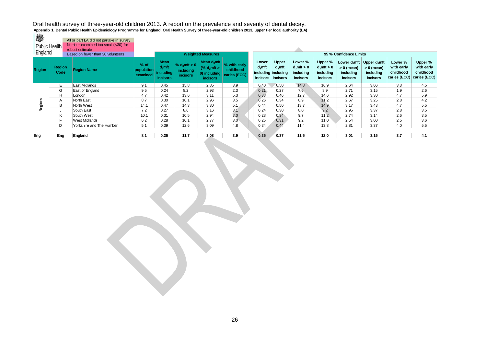| <b>CONTROL</b><br>Public Health<br>England |                       | All or part LA did not partake in survey<br>Number examined too small (<30) for<br>robust estimate<br>Based on fewer than 30 volunteers |                                  |                                                                 |                                            | <b>Weighted Measures</b>                                                                |                                           |                                |                                                              |                                                                 |                                                                 | 95 % Confidence Limits                |                                                                                 |                                                    |                                                    |
|--------------------------------------------|-----------------------|-----------------------------------------------------------------------------------------------------------------------------------------|----------------------------------|-----------------------------------------------------------------|--------------------------------------------|-----------------------------------------------------------------------------------------|-------------------------------------------|--------------------------------|--------------------------------------------------------------|-----------------------------------------------------------------|-----------------------------------------------------------------|---------------------------------------|---------------------------------------------------------------------------------|----------------------------------------------------|----------------------------------------------------|
| <b>Region</b>                              | <b>Region</b><br>Code | <b>Region Name</b>                                                                                                                      | $%$ of<br>population<br>examined | <b>Mean</b><br>$d_3$ mft<br><i>including</i><br><b>incisors</b> | % $d_3$ mft $> 0$<br>including<br>incisors | Mean $d_3$ mft<br>$\frac{6}{3}$ d <sub>3</sub> mft ><br>0) including<br><b>incisors</b> | % with early<br>childhood<br>caries (ECC) | Lower<br>$d_3$ mft<br>incisors | <b>Upper</b><br>$d_3$ mft<br>including inclusing<br>incisors | Lower %<br>$d_3$ mft > 0<br><i>including</i><br><b>incisors</b> | Upper %<br>$d_3$ mft > 0<br><i>including</i><br><b>incisors</b> | $> 0$ (mean)<br>including<br>incisors | Lower $d_3$ mft Upper $d_3$ mft<br>$> 0$ (mean)<br>including<br><b>incisors</b> | Lower %<br>with early<br>childhood<br>caries (ECC) | Upper %<br>with early<br>childhood<br>caries (ECC) |
|                                            | E.                    | East Midlands                                                                                                                           | 9.1                              | 0.45                                                            | 15.8                                       | 2.85                                                                                    | 3.9                                       | 0.40                           | 0.50                                                         | 14.8                                                            | 16.9                                                            | 2.64                                  | 3.06                                                                            | 3.3                                                | 4.5                                                |
|                                            | G                     | East of England                                                                                                                         | 9.5                              | 0.24                                                            | 8.2                                        | 2.93                                                                                    | 2.3                                       | 0.21                           | 0.27                                                         | 7.6                                                             | 8.9                                                             | 2.71                                  | 3.15                                                                            | 1.9                                                | 2.6                                                |
|                                            | H                     | London                                                                                                                                  | 4.7                              | 0.42                                                            | 13.6                                       | 3.11                                                                                    | 5.3                                       | 0.38                           | 0.46                                                         | 12.7                                                            | 14.6                                                            | 2.92                                  | 3.30                                                                            | 4.7                                                | 5.9                                                |
|                                            | A                     | North East                                                                                                                              | 8.7                              | 0.30                                                            | 10.1                                       | 2.96                                                                                    | 3.5                                       | 0.26                           | 0.34                                                         | 8.9                                                             | 11.2                                                            | 2.67                                  | 3.25                                                                            | 2.8                                                | 4.2                                                |
| Regions                                    | B                     | North West                                                                                                                              | 14.1                             | 0.47                                                            | 14.3                                       | 3.30                                                                                    | 5.1                                       | 0.44                           | 0.50                                                         | 13.7                                                            | 14.9                                                            | 3.17                                  | 3.43                                                                            | 4.7                                                | 5.5                                                |
|                                            |                       | South East                                                                                                                              | 7.2                              | 0.27                                                            | 8.6                                        | 3.16                                                                                    | 3.1                                       | 0.24                           | 0.30                                                         | 8.0                                                             | 9.2                                                             | 2.95                                  | 3.37                                                                            | 2.8                                                | 3.5                                                |
|                                            | K                     | South West                                                                                                                              | 10.1                             | 0.31                                                            | 10.5                                       | 2.94                                                                                    | 3.0                                       | 0.28                           | 0.34                                                         | 9.7                                                             | 11.2                                                            | 2.74                                  | 3.14                                                                            | 2.6                                                | 3.5                                                |
|                                            | F.                    | West Midlands                                                                                                                           | 6.2                              | 0.28                                                            | 10.1                                       | 2.77                                                                                    | 3.0                                       | 0.25                           | 0.31                                                         | 9.2                                                             | 11.0                                                            | 2.54                                  | 3.00                                                                            | 2.5                                                | 3.6                                                |
|                                            | D                     | Yorkshire and The Humber                                                                                                                | 5.1                              | 0.39                                                            | 12.6                                       | 3.09                                                                                    | 4.8                                       | 0.34                           | 0.44                                                         | 11.4                                                            | 13.8                                                            | 2.81                                  | 3.37                                                                            | 4.0                                                | 5.5                                                |
|                                            |                       |                                                                                                                                         |                                  |                                                                 |                                            |                                                                                         |                                           |                                |                                                              |                                                                 |                                                                 |                                       |                                                                                 |                                                    |                                                    |
| Eng                                        | Eng                   | England                                                                                                                                 | 8.1                              | 0.36                                                            | 11.7                                       | 3.08                                                                                    | 3.9                                       | 0.35                           | 0.37                                                         | 11.5                                                            | 12.0                                                            | 3.01                                  | 3.15                                                                            | 3.7                                                | 4.1                                                |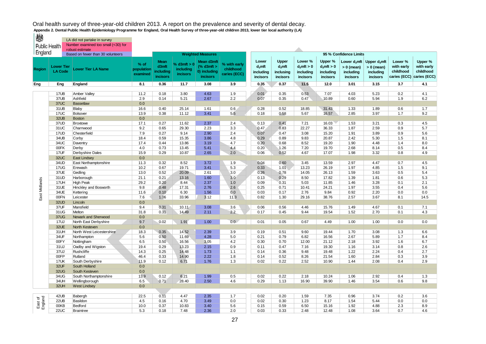| ₩                    |                                     | LA did not partake in survey             |                                  |                                               |                                                |                                                                |                                           |                                                    |                                            |                                                   |                                                   |                                                          |                                                                 |                                                    |                                                    |
|----------------------|-------------------------------------|------------------------------------------|----------------------------------|-----------------------------------------------|------------------------------------------------|----------------------------------------------------------------|-------------------------------------------|----------------------------------------------------|--------------------------------------------|---------------------------------------------------|---------------------------------------------------|----------------------------------------------------------|-----------------------------------------------------------------|----------------------------------------------------|----------------------------------------------------|
| <b>Public Health</b> |                                     | Number examined too small (<30) for      |                                  |                                               |                                                |                                                                |                                           |                                                    |                                            |                                                   |                                                   |                                                          |                                                                 |                                                    |                                                    |
|                      |                                     | robust estimate                          |                                  |                                               |                                                |                                                                |                                           |                                                    |                                            |                                                   |                                                   |                                                          |                                                                 |                                                    |                                                    |
| England              |                                     | Based on fewer than 30 volunteers        |                                  |                                               |                                                | <b>Weighted Measures</b>                                       |                                           |                                                    |                                            |                                                   |                                                   | 95 % Confidence Limits                                   |                                                                 |                                                    |                                                    |
| Region               | <b>Lower Tier</b><br><b>LA Code</b> | <b>Lower Tier LA Name</b>                | $%$ of<br>population<br>examined | Mean<br>d3mft<br>including<br><b>incisors</b> | % d3 $mft > 0$<br>including<br><b>incisors</b> | Mean d3mft<br>$%$ d3mft $>$<br>0) including<br><b>incisors</b> | % with early<br>childhood<br>caries (ECC) | Lower<br>$d_3$ mft<br>including<br><i>incisors</i> | Upper<br>$d3$ mft<br>inclusing<br>incisors | Lower %<br>$d_3$ mft > 0<br>including<br>incisors | Upper %<br>$d_3$ mft > 0<br>including<br>incisors | Lower $d_3$ mft<br>$> 0$ (mean)<br>including<br>incisors | Upper $d_3$ mft<br>$> 0$ (mean)<br>including<br><i>incisors</i> | Lower %<br>with early<br>childhood<br>caries (ECC) | Upper %<br>with early<br>childhood<br>caries (ECC) |
| Eng                  | Eng                                 | England                                  | 8.1                              | 0.36                                          | 11.7                                           | 3.08                                                           | 3.9                                       | 0.35                                               | 0.37                                       | 11.5                                              | 12.0                                              | 3.01                                                     | 3.15                                                            | 3.7                                                | 4.1                                                |
|                      |                                     |                                          |                                  |                                               |                                                |                                                                |                                           |                                                    |                                            |                                                   |                                                   |                                                          |                                                                 |                                                    |                                                    |
|                      | 17UB                                | Amber Valley                             | 11.2                             | 0.18                                          | 3.80                                           | 4.63                                                           | 1.9                                       | 0.01                                               | 0.35                                       | 0.53                                              | 7.07                                              | 4.03                                                     | 5.23                                                            | 0.2                                                | 4.1                                                |
|                      | 37UB                                | Ashfield                                 | 2.9                              | 0.14                                          | 5.21                                           | 2.67                                                           | 2.2                                       | 0.07                                               | 0.35                                       | 0.47                                              | 10.89                                             | 0.60                                                     | 5.94                                                            | 1.9                                                | 6.2                                                |
|                      | 37UC                                | <b>Bassetlaw</b>                         | 0.0                              |                                               |                                                |                                                                |                                           |                                                    |                                            |                                                   |                                                   |                                                          |                                                                 |                                                    |                                                    |
|                      | 31UB                                | Blaby                                    | 16.6                             | 0.40                                          | 25.14                                          | 1.61                                                           | 0.6                                       | 0.28                                               | 0.52                                       | 18.85                                             | 31.43                                             | 1.33                                                     | 1.89                                                            | 0.6                                                | 1.7                                                |
|                      | 17UC                                | Bolsover                                 | 13.9                             | 0.38                                          | 11.12                                          | 3.41                                                           | 5.5                                       | 0.18                                               | 0.58                                       | 5.67                                              | 16.57                                             | 2.85                                                     | 3.97                                                            | 1.7                                                | 9.2                                                |
|                      | 32UB                                | <b>Boston</b>                            | 0.0                              |                                               |                                                |                                                                |                                           |                                                    |                                            |                                                   |                                                   |                                                          |                                                                 |                                                    |                                                    |
|                      | 37UD                                | Broxtowe                                 | 17.1                             | 0.27                                          | 11.62                                          | 2.37                                                           | 2.4                                       | 0.13                                               | 0.41                                       | 7.21                                              | 16.03                                             | 1.53                                                     | 3.21                                                            | 0.3                                                | 4.5                                                |
|                      | 31UC<br>17UD                        | Charnwood                                | 9.2<br>7.9                       | 0.65                                          | 29.30                                          | 2.23<br>2.90                                                   | 3.3<br>2.4                                | 0.47                                               | 0.83                                       | 22.27                                             | 36.33                                             | 1.87                                                     | 2.59                                                            | 0.9                                                | 5.7                                                |
|                      | 34UB                                | Chesterfield<br>Corby                    | 18.4                             | 0.27<br>0.59                                  | 9.14<br>15.35                                  | 3.86                                                           | 4.8                                       | 0.07<br>0.29                                       | 0.47<br>0.89                               | 3.08<br>9.83                                      | 15.20<br>20.87                                    | 1.91<br>2.42                                             | 3.89<br>5.30                                                    | 0.9<br>1.5                                         | 5.6<br>8.1                                         |
|                      | 34UC                                | Daventry                                 | 17.4                             | 0.44                                          | 13.86                                          | 3.19                                                           | 4.7                                       | 0.20                                               | 0.68                                       | 8.52                                              | 19.20                                             | 1.90                                                     | 4.48                                                            | 1.4                                                | 8.0                                                |
|                      | 00FK                                | Derby                                    | 4.0                              | 0.73                                          | 13.45                                          | 5.41                                                           | 4.4                                       | 0.20                                               | 1.26                                       | 7.20                                              | 19.70                                             | 2.68                                                     | 8.14                                                            | 0.5                                                | 8.4                                                |
|                      | 17UF                                | Derbyshire Dales                         | 15.9                             | 0.29                                          | 10.87                                          | 2.65                                                           | 2.0                                       | 0.06                                               | 0.52                                       | 4.67                                              | 17.07                                             | 1.98                                                     | 3.32                                                            | 0.8                                                | 4.9                                                |
|                      | 32UC                                | <b>East Lindsey</b>                      | $0.0\,$                          |                                               |                                                |                                                                |                                           |                                                    |                                            |                                                   |                                                   |                                                          |                                                                 |                                                    |                                                    |
|                      | 34UD                                | East Northamptonshire                    | 11.3                             | 0.32                                          | 8.52                                           | 3.72                                                           | 1.9                                       | 0.04                                               | 0.60                                       | 3.45                                              | 13.59                                             | 2.97                                                     | 4.47                                                            | 0.7                                                | 4.5                                                |
|                      | 17UG                                | Erewash                                  | 10.2                             | 0.67                                          | 19.71                                          | 3.41                                                           | 5.3                                       | 0.33                                               | 1.01                                       | 13.23                                             | 26.19                                             | 1.97                                                     | 4.85                                                            | 1.5                                                | 9.1                                                |
|                      | 37UE                                | Gedling                                  | 13.0                             | 0.52                                          | 20.09                                          | 2.61                                                           | 3.0                                       | 0.26                                               | 0.78                                       | 14.05                                             | 26.13                                             | 1.59                                                     | 3.63                                                            | 0.5                                                | 5.4                                                |
|                      | 31UD                                | Harborough                               | 21.1                             | 0.21                                          | 13.16                                          | 1.60                                                           | 3.0                                       | 0.13                                               | 0.29                                       | 8.50                                              | 17.82                                             | 1.39                                                     | 1.81                                                            | 0.6                                                | 5.3                                                |
|                      | 17UH                                | <b>High Peak</b>                         | 29.2                             | 0.20                                          | 8.44                                           | 2.37                                                           | 1.0                                       | 0.09                                               | 0.31                                       | 5.03                                              | 11.85                                             | 1.46                                                     | 3.28                                                            | 0.1                                                | 2.1                                                |
| East Midlands        | 31UE                                | Hinckley and Bosworth                    | 9.8                              | 0.48                                          | 17.31                                          | 2.76                                                           | 2.6                                       | 0.25                                               | 0.71                                       | 10.41                                             | 24.21                                             | 1.97                                                     | 3.55                                                            | 0.4                                                | 5.6                                                |
|                      | 34UE                                | Kettering                                | 11.6                             | 0.10                                          | 6.30                                           | 1.56                                                           | 0.0                                       | 0.03                                               | 0.17                                       | 2.76                                              | 9.84                                              | 0.92                                                     | 2.20                                                            | 0.0                                                | 0.0                                                |
|                      | 00FN                                | Leicester                                | 7.6                              | 1.06                                          | 33.96                                          | 3.12                                                           | 11.3                                      | 0.82                                               | 1.30                                       | 29.16                                             | 38.76                                             | 2.57                                                     | 3.67                                                            | 8.1                                                | 14.5                                               |
|                      | 32UD                                | Lincoln                                  | 0.0                              |                                               |                                                |                                                                |                                           |                                                    |                                            |                                                   |                                                   |                                                          |                                                                 |                                                    |                                                    |
|                      | 37UF                                | Mansfield                                | 9.4                              | 0.31                                          | 10.11                                          | 3.08                                                           | 3.6                                       | 0.06                                               | 0.56                                       | 4.46                                              | 15.76                                             | 1.49                                                     | 4.67                                                            | 0.1                                                | 7.1                                                |
|                      | 31UG                                | Melton                                   | 31.8                             | 0.31                                          | 14.49                                          | 2.11                                                           | 2.2                                       | 0.17                                               | 0.45                                       | 9.44                                              | 19.54                                             | 1.52                                                     | 2.70                                                            | 0.1                                                | 4.3                                                |
|                      | 37UG                                | Newark and Sherwood                      | 0.0                              |                                               |                                                |                                                                |                                           |                                                    |                                            |                                                   |                                                   |                                                          |                                                                 |                                                    |                                                    |
|                      | <b>17UJ</b>                         | North East Derbyshire                    | 9.7                              | 0.02                                          | 1.91                                           | 1.00                                                           | 0.0                                       | 0.01                                               | 0.05                                       | 0.67                                              | 4.49                                              | 1.00                                                     | 1.00                                                            | 0.0                                                | 0.0                                                |
|                      | 32UE                                | North Kesteven                           | 0.0                              |                                               |                                                |                                                                |                                           |                                                    |                                            |                                                   |                                                   |                                                          |                                                                 |                                                    |                                                    |
|                      | 31UH                                | North West Leicestershire                | 18.3                             | 0.35                                          | 14.52                                          | 2.39                                                           | 3.9                                       | 0.19                                               | 0.51                                       | 9.60                                              | 19.44                                             | 1.70                                                     | 3.08                                                            | 1.3                                                | 6.6                                                |
|                      | 34UF                                | Northampton                              | 5.6                              | 0.50                                          | 11.69                                          | 4.28                                                           | 5.0                                       | 0.21                                               | 0.79                                       | 6.82                                              | 16.56                                             | 2.67                                                     | 5.89                                                            | 1.7                                                | 8.4                                                |
|                      | 00FY                                | Nottingham                               | 6.5                              | 0.50                                          | 16.56                                          | 3.05                                                           | 4.2                                       | 0.30                                               | 0.70                                       | 12.00                                             | 21.12                                             | 2.18                                                     | 3.92                                                            | 1.6                                                | 6.7                                                |
|                      | 31UJ                                | Oadby and Wigston                        | 19.4                             | 0.29                                          | 13.23                                          | 2.15                                                           | 0.9                                       | 0.11                                               | 0.47                                       | 7.16                                              | 19.30                                             | 1.16                                                     | 3.14                                                            | 0.8                                                | 2.6                                                |
|                      | 37UJ                                | Rushcliffe                               | 14.3                             | 0.25                                          | 14.48                                          | 1.73                                                           | 1.1                                       | 0.14                                               | 0.36                                       | 9.48                                              | 19.48                                             | 1.22                                                     | 2.24                                                            | 0.4                                                | 2.7                                                |
|                      | 00FP                                | Rutland                                  | 46.4                             | 0.33                                          | 14.90                                          | 2.22                                                           | 1.8                                       | 0.14                                               | 0.52                                       | 8.26                                              | 21.54                                             | 1.60                                                     | 2.84                                                            | 0.3                                                | 3.9                                                |
|                      | 17UK                                | South Derbyshire                         | 11.9                             | 0.12                                          | 6.71                                           | 1.76                                                           | 1.3                                       | 0.02                                               | 0.22                                       | 2.52                                              | 10.90                                             | 1.44                                                     | 2.08                                                            | 0.4                                                | 2.9                                                |
|                      | 32UF<br><b>32UG</b>                 | South Holland<br>South Kesteven          | 0.0<br>0.0                       |                                               |                                                |                                                                |                                           |                                                    |                                            |                                                   |                                                   |                                                          |                                                                 |                                                    |                                                    |
|                      | 34UG                                |                                          | 13.9                             | 0.12                                          | 6.21                                           | 1.99                                                           | 0.5                                       | 0.02                                               | 0.22                                       | 2.18                                              | 10.24                                             | 1.06                                                     | 2.92                                                            | 0.4                                                | 1.3                                                |
|                      | 34UH                                | South Northamptonshire<br>Wellingborough |                                  | 0.71                                          | 28.40                                          | 2.50                                                           | 4.6                                       | 0.29                                               | 1.13                                       | 16.90                                             | 39.90                                             | 1.46                                                     | 3.54                                                            | 0.6                                                | 9.8                                                |
|                      | 32UH                                | <b>West Lindsey</b>                      | 6.5<br>0.0                       |                                               |                                                |                                                                |                                           |                                                    |                                            |                                                   |                                                   |                                                          |                                                                 |                                                    |                                                    |
|                      |                                     |                                          |                                  |                                               |                                                |                                                                |                                           |                                                    |                                            |                                                   |                                                   |                                                          |                                                                 |                                                    |                                                    |
|                      | 42UB                                | Babergh                                  | 22.5                             | 0.11                                          | 4.47                                           | 2.35                                                           | 1.7                                       | 0.02                                               | 0.20                                       | 1.59                                              | 7.35                                              | 0.96                                                     | 3.74                                                            | 0.2                                                | 3.6                                                |
| East of<br>England   | 22UB                                | Basildon                                 | 4.5                              | 0.16                                          | 4.70                                           | 3.49                                                           | 0.0                                       | 0.02                                               | 0.30                                       | 1.23                                              | 8.17                                              | 1.54                                                     | 5.44                                                            | 0.0                                                | 0.0                                                |
|                      | 00KB                                | Bedford                                  | 10.0                             | 0.37                                          | 10.83                                          | 3.40                                                           | 5.6                                       | 0.15                                               | 0.59                                       | 6.50                                              | 15.16                                             | 1.92                                                     | 4.88                                                            | 2.3                                                | 8.9                                                |
|                      | 22UC                                | Braintree                                | 5.3                              | 0.18                                          | 7.48                                           | 2.36                                                           | 2.0                                       | 0.03                                               | 0.33                                       | 2.48                                              | 12.48                                             | 1.08                                                     | 3.64                                                            | 0.7                                                | 4.6                                                |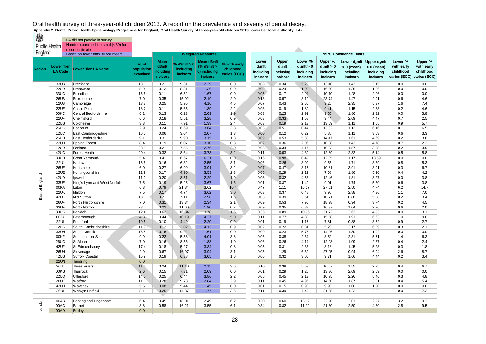LA did not partake in survey Hoalth Number examined too small (<30) for Public Health Number examined

| PUDIIC Health   |                                     | robust estimate                   |                                  |                                                      |                                             |                                                                |                                           |                                                    |                                             |                                                   |                                                   |                                                          |                                                          |                                                    |                                                    |
|-----------------|-------------------------------------|-----------------------------------|----------------------------------|------------------------------------------------------|---------------------------------------------|----------------------------------------------------------------|-------------------------------------------|----------------------------------------------------|---------------------------------------------|---------------------------------------------------|---------------------------------------------------|----------------------------------------------------------|----------------------------------------------------------|----------------------------------------------------|----------------------------------------------------|
| England         |                                     | Based on fewer than 30 volunteers |                                  |                                                      |                                             | <b>Weighted Measures</b>                                       |                                           |                                                    |                                             |                                                   |                                                   | 95 % Confidence Limits                                   |                                                          |                                                    |                                                    |
| <b>Region</b>   | <b>Lower Tier</b><br><b>LA Code</b> | <b>Lower Tier LA Name</b>         | $%$ of<br>population<br>examined | <b>Mean</b><br>d3mft<br>including<br><b>incisors</b> | % d3mft > 0<br>including<br><b>incisors</b> | Mean d3mft<br>$%$ d3mft $>$<br>0) including<br><b>incisors</b> | % with early<br>childhood<br>caries (ECC) | Lower<br>$d_3$ mft<br>including<br><b>incisors</b> | Upper<br>$d_3$ mft<br>inclusing<br>incisors | Lower %<br>$d_3$ mft > 0<br>including<br>incisors | Upper %<br>$d_3$ mft > 0<br>including<br>incisors | Lower $d_3$ mft<br>$> 0$ (mean)<br>including<br>incisors | Upper $d_3$ mft<br>$> 0$ (mean)<br>including<br>incisors | Lower %<br>with early<br>childhood<br>caries (ECC) | Upper %<br>with early<br>childhood<br>caries (ECC) |
|                 | 33UB                                | <b>Breckland</b>                  | 13.0                             | 0.21                                                 | 9.31                                        | 2.29                                                           | 0.0                                       | 0.08                                               | 0.34                                        | 5.22                                              | 13.40                                             | 1.43                                                     | 3.15                                                     | 0.0                                                | 0.0                                                |
|                 | 22UD                                | Brentwood                         | 5.9                              | 0.12                                                 | 8.81                                        | 1.36                                                           | 0.0                                       | 0.00                                               | 0.24                                        | 1.02                                              | 16.60                                             | 1.36                                                     | 1.36                                                     | 0.0                                                | 0.0                                                |
|                 | 33UC                                | <b>Broadland</b>                  | 15.6                             | 0.11                                                 | 6.52                                        | 1.67                                                           | 0.0                                       | 0.05                                               | 0.17                                        | 2.94                                              | 10.10                                             | 1.28                                                     | 2.06                                                     | 0.0                                                | 0.0                                                |
|                 | 26UB                                | Broxbourne                        | 7.0                              | 0.35                                                 | 15.92                                       | 2.19                                                           | 2.0                                       | 0.13                                               | 0.57                                        | 8.10                                              | 23.74                                             | 1.47                                                     | 2.91                                                     | 0.6                                                | 4.6                                                |
|                 | 12UB                                | Cambridge                         | 13.8                             | 0.25                                                 | 5.95                                        | 4.16                                                           | 4.5                                       | 0.07                                               | 0.43                                        | 2.65                                              | 9.25                                              | 2.95                                                     | 5.37                                                     | 1.6                                                | 7.4                                                |
|                 | 22UE                                | <b>Castle Point</b>               | 18.7                             | 0.11                                                 | 5.65                                        | 1.89                                                           | 2.2                                       | 0.03                                               | 0.19                                        | 1.89                                              | 9.41                                              | 1.15                                                     | 2.63                                                     | 0.2                                                | 4.6                                                |
|                 | 00KC                                | Central Bedfordshire              | 6.1                              | 0.13                                                 | 6.23                                        | 2.09                                                           | 1.9                                       | 0.03                                               | 0.23                                        | 2.91                                              | 9.55                                              | 1.86                                                     | 2.32                                                     | 0.0                                                | 3.8                                                |
|                 | 22UF                                | Chelmsford                        | 6.6                              | 0.18                                                 | 5.51                                        | 3.28                                                           | 0.9                                       | 0.03                                               | 0.33                                        | 1.58                                              | 9.44                                              | 2.09                                                     | 4.47                                                     | 0.7                                                | 2.5                                                |
|                 | <b>22UG</b>                         | Colchester                        | 3.3                              | 0.11                                                 | 7.91                                        | 1.33                                                           | 2.4                                       | 0.03                                               | 0.19                                        | 2.13                                              | 13.69                                             | 1.11                                                     | 1.55                                                     | 0.9                                                | 5.7                                                |
|                 | 26UC                                | Dacorum                           | 2.9                              | 0.24                                                 | 6.69                                        | 3.64                                                           | 3.3                                       | 0.03                                               | 0.51                                        | 0.44                                              | 13.82                                             | 1.12                                                     | 6.16                                                     | 0.1                                                | 6.5                                                |
|                 | 12UC                                | East Cambridgeshire               | 16.0                             | 0.06                                                 | 3.04                                        | 2.07                                                           | 1.3                                       | 0.00                                               | 0.12                                        | 0.22                                              | 5.86                                              | 1.11                                                     | 3.03                                                     | 0.6                                                | 3.3                                                |
|                 | 26UD                                | East Hertfordshire                | 9.1                              | 0.31                                                 | 9.90                                        | 3.15                                                           | 1.8                                       | 0.09                                               | 0.53                                        | 5.33                                              | 14.47                                             | 1.61                                                     | 4.69                                                     | 0.2                                                | 3.8                                                |
|                 | 22UH                                | <b>Epping Forest</b>              | 8.4                              | 0.19                                                 | 6.07                                        | 3.10                                                           | 0.8                                       | 0.02                                               | 0.36                                        | 2.06                                              | 10.08                                             | 1.42                                                     | 4.78                                                     | 0.7                                                | 2.2                                                |
|                 | 12UD                                | Fenland                           | 23.5                             | 0.21                                                 | 7.55                                        | 2.76                                                           | 2.0                                       | 0.08                                               | 0.34                                        | 4.17                                              | 10.93                                             | 1.57                                                     | 3.95                                                     | 0.2                                                | 3.9                                                |
|                 | 42UC                                | Forest Heath                      | 20.4                             | 0.32                                                 | 8.64                                        | 3.73                                                           | 3.2                                       | 0.11                                               | 0.53                                        | 4.39                                              | 12.89                                             | 2.32                                                     | 5.14                                                     | 0.5                                                | 5.8                                                |
|                 | 33UD                                | <b>Great Yarmouth</b>             | 5.4                              | 0.41                                                 | 6.67                                        | 6.21                                                           | 0.0                                       | 0.16                                               | 0.98                                        | 0.49                                              | 12.85                                             | 1.17                                                     | 13.59                                                    | 0.0                                                | 0.0                                                |
|                 | <b>22UJ</b>                         | Harlow                            | 15.6                             | 0.16                                                 | 6.32                                        | 2.55                                                           | 3.1                                       | 0.06                                               | 0.26                                        | 3.09                                              | 9.55                                              | 1.71                                                     | 3.39                                                     | 0.8                                                | 5.3                                                |
|                 | 26UE                                | Hertsmere                         | 6.0                              | 0.27                                                 | 6.99                                        | 3.91                                                           | 3.2                                       | 0.07                                               | 0.47                                        | 3.17                                              | 10.81                                             | 3.91                                                     | 3.91                                                     | 0.3                                                | 6.7                                                |
|                 | 12UE                                | Huntingdonshire                   | 11.9                             | 0.17                                                 | 4.90                                        | 3.53                                                           | 2.3                                       | 0.05                                               | 0.29                                        | 2.12                                              | 7.68                                              | 1.86                                                     | 5.20                                                     | 0.4                                                | 4.2                                                |
|                 | 42UD                                | Ipswich                           | 11.0                             | 0.20                                                 | 8.51                                        | 2.29                                                           | 1.9                                       | 0.08                                               | 0.32                                        | 4.56                                              | 12.46                                             | 1.31                                                     | 3.27                                                     | 0.0                                                | 3.8                                                |
| East of England | 33UE                                | King's Lynn and West Norfolk      | 7.5                              | 0.19                                                 | 5.25                                        | 3.67                                                           | 1.6                                       | 0.01                                               | 0.37                                        | 1.49                                              | 9.01                                              | 1.74                                                     | 5.60                                                     | 0.6                                                | 3.8                                                |
|                 | 00KA                                | Luton                             | 6.3                              | 0.79                                                 | 21.84                                       | 3.62                                                           | 10.4                                      | 0.47                                               | 1.11                                        | 16.17                                             | 27.51                                             | 2.50                                                     | 4.74                                                     | 6.2                                                | 14.7                                               |
|                 | 22UK                                | Maldon                            | 7.5                              | 0.17                                                 | 4.74                                        | 3.62                                                           | 3.0                                       | 0.03                                               | 0.37                                        | 0.48                                              | 9.96                                              | 2.88                                                     | 4.36                                                     | 1.1                                                | 7.0                                                |
|                 | 42UE                                | Mid Suffolk                       | 18.3                             | 0.21                                                 | 7.11                                        | 2.98                                                           | 1.6                                       | 0.03                                               | 0.39                                        | 3.51                                              | 10.71                                             | 0.88                                                     | 5.08                                                     | 0.2                                                | 3.4                                                |
|                 | 26UF                                | North Hertfordshire               | 7.0                              | 0.31                                                 | 13.34                                       | 2.34                                                           | 2.1                                       | 0.09                                               | 0.53                                        | 7.90                                              | 18.78                                             | 0.94                                                     | 3.74                                                     | 0.2                                                | 4.5                                                |
|                 | 33UF                                | North Norfolk                     | 23.0                             | 0.22                                                 | 11.60                                       | 1.90                                                           | 0.7                                       | 0.09                                               | 0.35                                        | 6.83                                              | 16.37                                             | 1.04                                                     | 2.76                                                     | 0.6                                                | 2.0                                                |
|                 | 33UG                                | Norwich                           | 12.4                             | 0.62                                                 | 16.34                                       | 3.78                                                           | 1.6                                       | 0.35                                               | 0.89                                        | 10.96                                             | 21.72                                             | 2.63                                                     | 4.93                                                     | 0.0                                                | 3.1                                                |
|                 | 00JA                                | Peterborough                      | 4.8                              | 0.44                                                 | 10.19                                       | 4.27                                                           | 5.0                                       | 0.11                                               | 0.77                                        | 4.80                                              | 15.58                                             | 1.91                                                     | 6.63                                                     | 1.0                                                | 9.0                                                |
|                 | <b>22UL</b>                         | Rochford                          | 19.6                             | 0.10                                                 | 4.49                                        | 2.20                                                           | 0.9                                       | 0.01                                               | 0.19                                        | 1.17                                              | 7.81                                              | 0.88                                                     | 3.52                                                     | 0.9                                                | 2.7                                                |
|                 | 12UG                                | South Cambridgeshire              | 11.9                             | 0.12                                                 | 3.02                                        | 4.13                                                           | 0.9                                       | 0.02                                               | 0.22                                        | 0.81                                              | 5.23                                              | 2.17                                                     | 6.09                                                     | 0.3                                                | 2.1                                                |
|                 | 33UH                                | South Norfolk                     | 13.8                             | 0.16                                                 | 9.92                                        | 1.61                                                           | 0.0                                       | 0.09                                               | 0.23                                        | 5.78                                              | 14.06                                             | 1.30                                                     | 1.92                                                     | 0.0                                                | 0.0                                                |
|                 | 00KF                                | Southend-on-Sea                   | 9.9                              | 0.22                                                 | 5.58                                        | 4.01                                                           | 3.8                                       | 0.06                                               | 0.38                                        | 2.64                                              | 8.52                                              | 2.31                                                     | 5.71                                                     | 1.4                                                | 6.3                                                |
|                 | 26UG                                | St Albans                         | 7.0                              | 0.16                                                 | 8.56                                        | 1.88                                                           | 1.0                                       | 0.06                                               | 0.26                                        | 4.14                                              | 12.98                                             | 1.09                                                     | 2.67                                                     | 0.4                                                | 2.4                                                |
|                 | 42UF                                | St Edmundsbury                    | 17.4                             | 0.18                                                 | 5.27                                        | 3.34                                                           | 0.8                                       | 0.05                                               | 0.31                                        | 2.36                                              | 8.18                                              | 1.45                                                     | 5.23                                                     | 0.3                                                | 1.8                                                |
|                 | 26UH                                | Stevenage                         | 2.9                              | 0.67                                                 | 16.97                                       | 3.94                                                           | 3.1                                       | 0.05                                               | 1.29                                        | 6.69                                              | 27.25                                             | 0.94                                                     | 6.94                                                     | 2.6                                                | 8.7                                                |
|                 | 42UG                                | Suffolk Coastal                   | 15.9                             | 0.19                                                 | 6.38                                        | 3.05                                                           | 1.6                                       | 0.06                                               | 0.32                                        | 3.05                                              | 9.71                                              | 1.66                                                     | 4.44                                                     | 0.2                                                | 3.4                                                |
|                 | 22UN<br><b>26UJ</b>                 | Tendring<br><b>Three Rivers</b>   | 0.0                              | 0.24                                                 | 11.10                                       | 2.15                                                           | 3.6                                       | 0.10                                               | 0.38                                        | 5.63                                              | 16.57                                             | 1.55                                                     | 2.75                                                     | 0.4                                                | 6.7                                                |
|                 |                                     |                                   | 11.6<br>2.6                      | 0.15                                                 | 7.31                                        |                                                                | 0.0                                       | 0.01                                               |                                             | 1.26                                              |                                                   | 2.09                                                     | 2.09                                                     | 0.0                                                |                                                    |
|                 | 00KG<br><b>22UQ</b>                 | Thurrock<br><b>Uttlesford</b>     | 14.0                             | 0.25                                                 | 6.44                                        | 2.09<br>3.86                                                   | 2.2                                       | 0.05                                               | 0.29<br>0.45                                | 2.13                                              | 13.36<br>10.75                                    | 2.26                                                     | 5.46                                                     | 0.3                                                | 0.0<br>4.8                                         |
|                 | <b>26UK</b>                         | Watford                           | 11.3                             | 0.28                                                 | 9.78                                        | 2.84                                                           | 2.9                                       | 0.11                                               | 0.45                                        | 4.96                                              | 14.60                                             | 1.87                                                     | 3.81                                                     | 0.4                                                | 5.4                                                |
|                 | 42UH                                | Waveney                           | 5.5                              | 0.08                                                 | 5.44                                        | 1.45                                                           | 0.0                                       | 0.01                                               | 0.15                                        | 0.98                                              | 9.90                                              | 1.00                                                     | 1.90                                                     | 0.0                                                | 0.0                                                |
|                 | <b>26UL</b>                         | Welwyn Hatfield                   | 8.1                              | 0.25                                                 | 14.37                                       | 1.77                                                           | 3.6                                       | 0.11                                               | 0.39                                        | 7.49                                              | 21.25                                             | 1.22                                                     | 2.32                                                     | 0.0                                                | 7.2                                                |
|                 |                                     |                                   |                                  |                                                      |                                             |                                                                |                                           |                                                    |                                             |                                                   |                                                   |                                                          |                                                          |                                                    |                                                    |
|                 | 00AB                                | Barking and Dagenham              | 6.4                              | 0.45                                                 | 18.01                                       | 2.49                                                           | 6.2                                       | 0.30                                               | 0.60                                        | 13.12                                             | 22.90                                             | 2.01                                                     | 2.97                                                     | 3.2                                                | 9.2                                                |
| London          | 00AC                                | Barnet                            | 3.8                              | 0.58                                                 | 16.21                                       | 3.55                                                           | 6.1                                       | 0.34                                               | 0.82                                        | 11.12                                             | 21.30                                             | 2.50                                                     | 4.60                                                     | 2.8                                                | 9.5                                                |
|                 | 00AD                                | <b>Bexley</b>                     | 0.0                              |                                                      |                                             |                                                                |                                           |                                                    |                                             |                                                   |                                                   |                                                          |                                                          |                                                    |                                                    |
|                 |                                     |                                   |                                  |                                                      |                                             |                                                                |                                           |                                                    |                                             |                                                   |                                                   |                                                          |                                                          |                                                    |                                                    |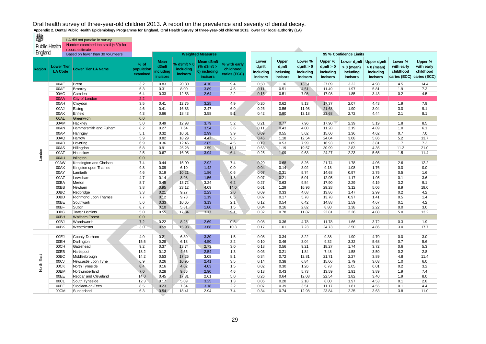燃 LA did not partake in survey Public Health Number examined too small (<30) for robust estimate England **Based on fewer than 30 volunteers Weighted Measures 95 % Confidence Limits Upper Mean Mean d3mft Lower Lower % Upper % Lower d3mft Upper d3mft Lower % Upper % % of % d3mft > 0 % with early Region Lower Tier d3mft (% d3mft > d3mft d3mft d3mft > 0 d3mft > 0 > 0 (mean) > 0 (mean) with early with early Lower Tier LA Name population including childhood including 0) including including including childhood childhood including inclusing including including incisors caries (ECC) examined incisors incisors incisors incisors incisors incisors incisors incisors caries (ECC) caries (ECC)** 00AE Brent 3.2 0.83 20.30 4.10 9.4 0.50 1.16 13.51 27.09 3.22 4.98 4.5 14.4 00AF Bromley 5.3 0.31 8.00 3.89 4.6 0.11 0.51 4.51 11.49 1.97 5.81 1.9 7.3 00AG Camden 6.4 | 0.33 | 12.53 | 2.64 | 2.2 | | 0.15 | 0.51 | 7.08 | 17.98 | 1.85 | 3.43 | 0.2 | 4.5 00AA City of London 2.2<br>00AH Crovdon 3.5 00AH Croydon 3.5 0.41 12.75 3.25 4.9 0.20 0.62 8.13 17.37 2.07 4.43 1.9 7.9 00AJ Ealing 2012 2020 2020 4.6 0.41 16.83 2.47 6.0 0.26 0.56 11.98 21.68 1.90 3.04 3.0 9.1 00AK Enfield 4.3 0.66 18.43 3.58 5.1 0.42 0.90 13.18 23.68 2.72 4.44 2.1 8.1 00AL Greenwich 0.0 00AM Hackney 5.0 | 0.49 | 12.93 3.79 | 5.2 \ | 0.21 | 0.77 | 7.96 | 17.90 | 2.39 | 5.19 | 1.8 | 8.5 00AN Hammersmith and Fulham 8.2 0.27 7.64 3.54 3.6 0.11 0.43 4.00 11.28 2.19 4.89 1.0 6.1 00AP |Haringey | 5.1 | 0.32 | 10.61 | 2.99 | 3.9 | | 0.09 | 0.55 | 5.62 | 15.60 | 1.36 | 4.62 | 0.7 | 7.0 00AQ |Harrow | 5.9 | 0.82 | 18.29 | 4.47 | 9.5 | 0.46 | 1.18 | 12.54 | 24.04 | 3.08 | 5.86 | 5.2 | 13.7 00AR Havering 6.9 | 0.36 | 12.46 | 2.85 | 4.5 | | 0.19 | 0.53 | 7.99 | 16.93 | 1.89 | 3.81 | 1.7 | 7.3 00AS Hillingdon 5.8 | 0.91 | 25.28 | 3.59 \ 16.1 | | 0.63 | 1.19 | 19.57 | 30.99 | 2.83 | 4.35 | 11.2 | 21.0 London North East London00AT |Hounslow | 2.5 | 0.67 | 16.95 | 3.94 | 6.4 | 0.25 | 1.09 | 9.63 | 24.27 | 2.23 | 5.65 | 1.5 | 11.4 00AU Islington 0.0 00AW Kensington and Chelsea (17.4 | 0.44 | 15.00 | 2.92 | 17.4 | 0.20 | 0.68 | 8.26 | 21.74 | 1.78 | 4.06 | 2.6 | 12.2 00AX |Kingston upon Thames | 9.8 | 0.09 | 6.10 | 1.42 | 0.0 | 0.04 | 0.14 | 3.02 | 9.18 | 1.08 | 1.76 | 0.0 | 0.0 00AY Lambeth 4.6 0.19 10.21 1.86 0.6 0.67 0.07 0.31 5.74 14.68 0.97 2.75 0.5 1.6 00AZ Lewisham 4.7 | 0.14 | 8.98 | 1.56 | 1.8 | | 0.07 | 0.21 | 5.01 | 12.95 | 1.17 | 1.95 | 0.1 | 3.6 00BA Merton 8.7 0.45 13.72 3.24 6.2 0.27 0.63 9.54 17.90 2.29 4.19 3.2 9.1 00BB Newham 3.8 0.95 23.12 4.09 14.0 0.61 1.29 16.96 29.28 3.12 5.06 8.9 19.0 00BC Redbridge 3.3 0.21 9.27 2.23 2.0 0.09 0.33 4.68 13.86 1.47 2.99 0.2 4.2 00BD Richmond upon Thames | 7.7 \ 0.12 | 9.78 | 1.19 | 0.5 \ | 0.07 | 0.17 | 5.78 | 13.78 | 0.97 | 1.41 | 0.5 | 1.4 00BE Southwark 5.6 N 0.33 N 10.65 N 3.13 N 2.1 N N 0.12 N 0.54 N 6.42 N 14.88 N 1.59 N 4.67 N 0.1 N 4.2 00BF Sutton 8.7 0.10 5.81 1.80 1.5 0.04 0.16 2.82 8.80 1.38 2.22 0.0 3.0 00BG Tower Hamlets 5.0 0.55 17.34 3.17 9.1 0.78 11.87 22.81 2.26 4.08 5.0 13.2 00BH Waltham Forest 0.0 00BJ Wandsworth 7.2 0.22 8.28 2.69 0.8 0.08 0.36 4.78 11.78 1.66 3.72 0.3 1.9 00BK Westminster 3.0 0.59 15.98 3.68 10.3 0.17 1.01 7.23 24.73 2.50 4.86 3.0 17.7 00EJ County Durham 4.0 0.21 6.30 3.30 1.5 0.08 0.34 3.22 9.38 1.90 4.70 0.0 3.0 00EH Darlington 15.5 0.28 6.18 4.50 3.2 0.10 0.46 3.04 9.32 3.32 5.68 0.7 5.68 00CH Gateshead 9.2 0.37 13.74 2.73 3.0 0.18 0.56 9.21 18.27 1.74 3.72 0.6 5.3 00EB |Hartlepool 18.2 | 0.12 | 4.66 | 2.54 | 1.3 | | 0.03 | 0.21 | 1.84 | 7.48 | 1.58 | 3.50 | 0.2 | 2.8 North East 00EC |Middlesbrough 14.2 | 0.53 | 17.26 | 3.08 | 8.1 | | 0.34 | 0.72 | 12.81 | 21.71 | 2.27 | 3.89 | 4.8 | 11.4 00CJ Newcastle upon Tyne 6.9 0.26 10.95 2.41 3.5 0.14 0.38 6.84 15.06 1.79 3.03 1.0 6.0 00CK North Tyneside 8.4 | 0.16 | 4.02 4.03 | 1.5 | 0.02 | 0.30 | 1.26 | 6.78 | 2.05 | 6.01 | 0.2 | 3.2 00EM Northumberland 7.0 0.28 9.66 2.90 4.6 0.43 5.73 1.3.59 1.91 3.89 1.9 7.4 00EE Redcar and Cleveland 14.0 0.45 17.31 2.61 5.0 0.26 0.64 12.08 22.54 1.82 3.40 1.9 8.0 00CL South Tyneside 12.3 0.17 5.09 3.25 1.3 0.06 0.28 2.18 8.00 1.97 4.53 0.1 2.8 00EF Stockton-on-Tees 8.5 0.23 7.34 3.18 2.2 0.07 0.39 3.51 11.17 1.81 4.55 0.1 4.4 00CM Sunderland 6.3 0.54 18.41 2.94 7.4 0.34 0.74 12.98 23.84 2.25 3.63 3.8 11.0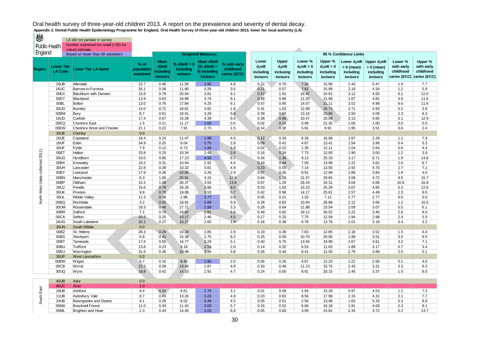燃 LA did not partake in survey Public Health Number examined too small (<30) for robust estimate England **Exercise**<br>Based on fewer than 30 volunteers **Weighted Measures 95 % Confidence Limits Upper Mean Mean d3mft Lower Lower % Upper % Lower d3mft Upper d3mft Lower % Upper % % of % d3mft > 0 % with early Region Lower Tier d3mft (% d3mft > d3mft d3mft d3mft > 0 d3mft > 0 > 0 (mean) > 0 (mean) with early with early childhood Lower Tier LA Name population including including 0) including including including childhood childhood including inclusing including including incisors caries (ECC) examined incisors incisors incisors incisors incisors incisors incisors incisors caries (ECC) caries (ECC)** 16UB Allerdale 22.7 0.46 11.59 3.95 4.8 0.22 0.70 7.28 15.90 2.43 5.47 1.9 7.7 16UC Barrow-in-Furness 35.1 0.39 11.90 3.26 3.6 0.21 0.57 7.81 15.99 2.18 4.34 1.2 5.9 00EX Blackburn with Darwen | 15.9 | 0.79 | 20.64 | 3.81 | 9.1 | 0.57 | 1.01 | 16.47 | 24.81 | 3.12 | 4.50 | 6.1 | 12.0 00EY |Blackpool | 13.9 | 0.63 | 16.89 | 3.74 | 8.1 | 0.38 | 0.88 | 12.20 | 21.58 | 2.67 | 4.81 | 4.6 | 11.5 00BL Bolton 13.0 | 0.76 | 17.84 | 4.25 | 9.1 | 0.57 | 0.95 | 14.57 | 21.11 | 3.52 | 4.98 | 6.6 | 11.6 30UD Burnley 14.0 0.72 18.81 3.82 1.8 0.41 1.03 12.89 24.73 2.71 4.93 0.2 3.9 00BM Bury | 8.7 | 0.61 | 18.41 | 3.29 | 5.3 | 0.39 | 0.83 | 13.16 | 23.66 | 2.50 | 4.08 | 2.3 | 8.3 16UD Carlisle 17.4 0.67 15.28 4.39 9.0 0.38 0.96 10.47 20.09 3.13 5.65 5.1 12.9 00EQ Cheshire East 1.5 0.11 11.17 1.00 0.0 0.02 0.24 0.99 21.35 1.00 1.00 0.0 0.0 00EW Cheshire West and Chester 21.1 0.22 7.91 2.73 1.5 0.14 0.30 5.91 9.91 1.95 3.51 0.6 2.4 30UE Chorley 0.0 16UE Copeland 18.4 0.23 11.47 1.98 4.5 0.12 0.34 6.26 16.68 1.67 2.29 1.1 7.9 16UF Eden 34.9 0.25 9.04 2.75 2.8 0.09 0.41 4.67 13.41 1.54 3.96 0.4 5.3 30UF Fylde 7.9 | 0.12 | 6.73 | 1.84 | 1.9 | 0.02 | 0.22 | 1.35 | 12.11 | 1.04 | 2.64 | 0.6 | 4.4 North West (data collected 2011) North West (data collected 2011)00ET |Halton | 33.8 | 0.25 | 10.34 | 2.45 | 2.6 | | 0.16 | 0.34 | 7.73 | 12.95 | 1.90 | 3.00 | 1.2 | 3.9 30UG |Hyndburn | 10.0 | 0.85 | 17.23 | 4.94 | 8.2 | 0.34 | 1.36 | 9.13 | 25.33 | 3.17 | 6.71 | 1.9 | 14.6 00BX |Knowsley 18.2 | 0.31 | 10.54 | 2.92 | 4.4 | 0.18 | 0.44 | 7.09 | 13.99 | 2.22 | 3.62 | 2.0 | 6.7 30UH Lancaster 22.8 0.39 10.32 3.81 4.9 0.23 0.55 7.14 13.50 2.92 4.70 2.7 7.1 00BY Liverpool 17.9 0.36 10.95 3.26 2.9 0.27 0.45 8.91 12.99 2.68 3.84 1.8 4.0 00BN Manchester 6.3 1.06 25.61 4.15 12.6 10.84 1.28 21.57 29.65 3.58 4.72 9.5 15.7 00BP Oldham 1.5.3 1.08 30.37 3.55 1.3.8 0.87 3.8 3.9.37 26.43 34.31 3.04 4.06 10.8 16.8 30UJ Pendle 15.6 0.78 20.26 3.86 9.0 0.63 1.03 15.23 25.29 3.07 4.65 5.3 12.6 30UK Preston 9.8 0.70 19.89 3.53 5.7 0.42 0.98 14.17 25.61 2.57 4.49 2.3 9.0 30UL Ribble Valley 11.3 0.08 2.96 2.77 0.0 0.05 0.21 1.20 7.12 2.77 2.77 0.0 0.0 00BQ Rochdale 3.2 0.55 18.91 2.89 5.9 0.28 0.82 10.94 26.88 2.12 3.66 1.2 10.6 30UM Rossendale 18.3 0.46 17.71 2.58 3.3 0.28 0.64 11.88 23.54 2.09 3.07 0.5 6.1 00BR Salford 7.2 0.70 24.82 2.81 5.8 0.48 0.92 19.12 30.52 2.22 3.40 2.6 9.0 00CA Sefton 20.9 0.25 10.17 2.46 4.0 0.17 0.33 7.75 12.59 1.94 2.98 2.4 5.5 16UG South Lakeland 32.1 0.27 10.27 2.60 1.8 0.16 0.38 6.78 13.76 2.01 3.19 0.4 3.2 30UN South Ribble 0.0 00BZ St. Helens 26.3 0.29 10.24 2.85 2.9 0.19 0.29 7.63 12.85 2.18 3.52 1.5 4.4 00BS Stockport 6.8 | 0.42 | 15.38 | 2.75 | 6.2 | | 0.25 | 0.59 | 10.70 | 20.06 | 1.99 | 3.51 | 3.0 | 9.5 00BT Tameside 17.6 0.55 16.77 3.29 5.1 0.40 0.70 13.55 19.99 2.67 3.91 3.2 7.1 00BU Trafford 13.8 0.23 9.18 2.53 2.0 0.14 0.32 6.53 11.83 1.89 3.17 0.7 3.4 00EU Warrington 31.6 0.35 10.48 3.34 3.8 0.26 0.44 8.41 12.55 2.79 3.89 2.5 5.1 30UP West Lancashire 0.0 00BW Wigan 5.7 0.16 8.45 1.90 2.0 0.06 0.26 4.67 12.23 1.22 2.58 0.1 4.0 00CB Wirral 22.3 0.39 13.44 2.87 4.8 0.30 0.48 11.13 15.75 2.43 3.31 3.3 6.3 30UQ |Wyre 18.8 | 0.42 | 14.53 | 2.91 | 4.7 | | 0.24 | 0.60 | 8.91 | 20.15 | 2.45 | 3.37 | 1.5 | 8.0

| 45UB        | Adur                    | 0.0              |      |       |      |            |      |      |      |       |      |      |               |           |
|-------------|-------------------------|------------------|------|-------|------|------------|------|------|------|-------|------|------|---------------|-----------|
| 45UC        | Arun                    | 1.0 <sub>1</sub> |      |       |      |            |      |      |      |       |      |      |               |           |
| 29UE        | Ashford                 | 4.4              | 0.24 | 8.61  | 2.75 | ື້         | 0.01 | 0.49 | 1.93 | 15.29 | 0.97 | 4.53 | .             | 72<br>ن ، |
| 11UB        | Aylesbury Vale          | 8.7              | 0.43 | 13.26 | 3.23 | 4.9        | 0.23 | 0.63 | 8.56 | 17.96 | 2.15 | 4.31 | 21<br><u></u> | 77<br>.   |
| <b>24UB</b> | Basingstoke and Deane   | 4.1              | 0.28 | 8.02  | 3.48 | 4.5        | 0.05 | 0.51 | 2.56 | 13.48 | .63  | 5.33 | 0.3           | 8.8       |
| 00MA        | <b>Bracknell Forest</b> | 11.0             | 0.34 | 11.42 | 3.00 | $-$<br>v.i | 0.16 | 0.52 | 6.66 | 16.18 | 91.، | 4.09 | 2.3           | 9.1       |
| 00ML        | Brighton and Hove       | 2.3              | 0.44 | 14.40 | 3.03 | c o<br>o.o | 0.05 | 0.83 | 3.99 | 24.81 | 2.34 | 3.72 | 0.2           | 13.7      |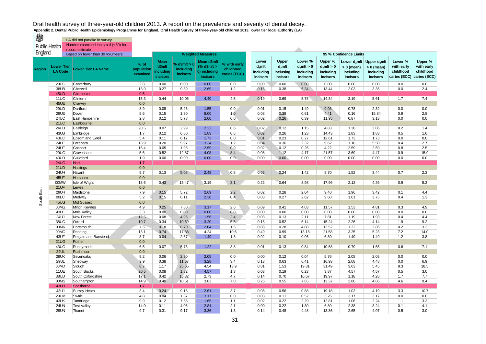LA did not partake in survey Hoalth Number examined too small (<30) for **robust estimate** 

| PUDIIC HEAITH |                                     | robust estimate                     |                                |                                               |                                                         |                                                                |                                           |                                             |                                             |                                                  |                                                  |                                                          |                                                          |                                                    |                                                    |
|---------------|-------------------------------------|-------------------------------------|--------------------------------|-----------------------------------------------|---------------------------------------------------------|----------------------------------------------------------------|-------------------------------------------|---------------------------------------------|---------------------------------------------|--------------------------------------------------|--------------------------------------------------|----------------------------------------------------------|----------------------------------------------------------|----------------------------------------------------|----------------------------------------------------|
| England       |                                     | Based on fewer than 30 volunteers   |                                |                                               |                                                         | <b>Weighted Measures</b>                                       |                                           |                                             |                                             |                                                  |                                                  | 95 % Confidence Limits                                   |                                                          |                                                    |                                                    |
| <b>Region</b> | <b>Lower Tier</b><br><b>LA Code</b> | Lower Tier LA Name                  | % of<br>population<br>examined | <b>Mean</b><br>d3mft<br>including<br>incisors | $\frac{1}{2}$ d3mft > 0<br>including<br><b>incisors</b> | Mean d3mft<br>$%$ d3mft $>$<br>0) including<br><b>incisors</b> | % with early<br>childhood<br>caries (ECC) | Lower<br>$d_3$ mft<br>including<br>incisors | Upper<br>$d_3$ mft<br>inclusing<br>incisors | Lower %<br>$d3$ mft > 0<br>including<br>incisors | Upper %<br>$d3$ mft > 0<br>including<br>incisors | Lower $d_3$ mft<br>$> 0$ (mean)<br>including<br>incisors | Upper $d_3$ mft<br>$> 0$ (mean)<br>including<br>incisors | Lower %<br>with early<br>childhood<br>caries (ECC) | Upper %<br>with early<br>childhood<br>caries (ECC) |
|               | <b>29UC</b>                         | Canterbury                          | 2.8                            | 0.00                                          | 0.00                                                    | 0.00                                                           | 0.0                                       | 0.00                                        | 0.00                                        | 0.00                                             | 0.00                                             | 0.00                                                     | 0.00                                                     | 0.0                                                | 0.0                                                |
|               | <b>38UB</b>                         | Cherwell                            | 13.9                           | 0.27                                          | 9.89                                                    | 2.69                                                           | 1.2                                       | 0.16                                        | 0.38                                        | 6.34                                             | 13.44                                            | 2.03                                                     | 3.35                                                     | 0.0                                                | 2.4                                                |
|               | 45UD                                | <b>Chichester</b>                   | 0.5                            |                                               |                                                         |                                                                |                                           |                                             |                                             |                                                  |                                                  |                                                          |                                                          |                                                    |                                                    |
|               | <b>11UC</b>                         | Chiltern                            | 15.3                           | 0.44                                          | 10.06                                                   | 4.40                                                           | 4.5                                       | 0.19                                        | 0.69                                        | 5.78                                             | 14.34                                            | 3.19                                                     | 5.61                                                     | 1.7                                                | 7.4                                                |
|               | 45UE                                | Crawley                             | 0.0                            |                                               |                                                         |                                                                |                                           |                                             |                                             |                                                  |                                                  |                                                          |                                                          |                                                    |                                                    |
|               | 29UD                                | Dartford                            | 8.9                            | 0.08                                          | 5.26                                                    | 1.55                                                           | 0.0                                       | 0.01                                        | 0.15                                        | 1.49                                             | 9.03                                             | 0.78                                                     | 2.32                                                     | 0.0                                                | 0.0                                                |
|               | 29UE                                | Dover                               | 5.6                            | 0.15                                          | 1.90                                                    | 8.00                                                           | 1.0                                       | 0.08                                        | 0.38                                        | 0.61                                             | 4.41                                             | 0.16                                                     | 15.84                                                    | 0.9                                                | 2.8                                                |
|               | <b>24UC</b>                         | East Hampshire                      | 2.8                            | 0.12                                          | 5.78                                                    | 2.00                                                           | 0.0                                       | 0.02                                        | 0.26                                        | 0.39                                             | 11.95                                            | 0.87                                                     | 3.13                                                     | 0.0                                                | 0.0                                                |
|               | <b>21UC</b>                         | Eastbourne                          | 0.0                            |                                               |                                                         |                                                                |                                           |                                             |                                             |                                                  |                                                  |                                                          |                                                          |                                                    |                                                    |
|               | 24UD                                | Eastleigh                           | 20.5                           | 0.07                                          | 2.99                                                    | 2.22                                                           | 0.6                                       | 0.02                                        | 0.12                                        | 1.15                                             | 4.83                                             | 1.38                                                     | 3.06                                                     | 0.2                                                | 1.4                                                |
|               | 43UB                                | Elmbridge                           | 1.7                            | 0.12                                          | 6.60                                                    | 1.83                                                           | 0.6                                       | 0.02                                        | 0.26                                        | 1.23                                             | 14.43                                            | 1.83                                                     | 1.83                                                     | 0.5                                                | 1.6                                                |
|               | 43UC                                | Epsom and Ewell                     | 5.4                            | 0.11                                          | 6.17                                                    | 1.73                                                           | 0.0                                       | 0.01                                        | 0.23                                        | 0.27                                             | 12.61                                            | 1.73                                                     | 1.73                                                     | 0.0                                                | 0.0                                                |
|               | 24UE                                | Fareham                             | 13.9                           | 0.20                                          | 5.97                                                    | 3.34                                                           | 1.2                                       | 0.04                                        | 0.36                                        | 2.32                                             | 9.62                                             | 1.18                                                     | 5.50                                                     | 0.4                                                | 2.7                                                |
|               | 24UF                                | Gosport                             | 16.4                           | 0.05                                          | 1.98                                                    | 2.59                                                           | 0.9                                       | 0.02                                        | 0.12                                        | 0.26                                             | 4.22                                             | 2.59                                                     | 2.59                                                     | 0.8                                                | 2.5                                                |
|               | 29UG                                | Gravesham                           | 5.6                            | 0.52                                          | 12.87                                                   | 4.08                                                           | 8.4                                       | 0.08                                        | 1.12                                        | 4.17                                             | 21.57                                            | 3.69                                                     | 4.47                                                     | 0.9                                                | 15.9                                               |
|               | 43UD                                | Guildford                           | 1.9                            | 0.00                                          | 0.00                                                    | 0.00                                                           | 0.0                                       | 0.00                                        | 0.00                                        | 0.00                                             | 0.00                                             | 0.00                                                     | 0.00                                                     | 0.0                                                | 0.0                                                |
|               | <b>24UG</b>                         | <b>Hart</b>                         | 1.7                            |                                               |                                                         |                                                                |                                           |                                             |                                             |                                                  |                                                  |                                                          |                                                          |                                                    |                                                    |
|               | 21UD                                | <b>Hastings</b>                     | 0.0                            |                                               |                                                         |                                                                |                                           |                                             |                                             |                                                  |                                                  |                                                          |                                                          |                                                    |                                                    |
|               | 24UH                                | Havant                              | 9.7                            | 0.13                                          | 5.06                                                    | 2.48                                                           | 0.8                                       | 0.02                                        | 0.24                                        | 1.42                                             | 8.70                                             | 1.52                                                     | 3.44                                                     | 0.7                                                | 2.3                                                |
|               | 45UF                                | Horsham                             | 0.0                            |                                               |                                                         |                                                                |                                           |                                             |                                             |                                                  |                                                  |                                                          |                                                          |                                                    |                                                    |
|               | 00MW                                | Isle of Wight                       | 18.6                           | 0.43                                          | 13.47                                                   | 3.19                                                           | 3.1                                       | 0.22                                        | 0.64                                        | 8.98                                             | 17.96                                            | 2.12                                                     | 4.26                                                     | 0.9                                                | 5.3                                                |
|               | 21UF                                | Lewes                               | 0.0                            |                                               |                                                         |                                                                |                                           |                                             |                                             |                                                  |                                                  |                                                          |                                                          |                                                    |                                                    |
| South East    | 29UH                                | Maidstone                           | 7.9                            | 0.15                                          | 5.72                                                    | 2.69                                                           | 2.2                                       | 0.02                                        | 0.28                                        | 2.04                                             | 9.40                                             | 1.96                                                     | 3.42                                                     | 0.1                                                | 4.4                                                |
|               | 00LC<br>45UG                        | Medway                              | 5.2                            | 0.15                                          | 6.11                                                    | 2.38                                                           | 0.4                                       | 0.03                                        | 0.27                                        | 2.62                                             | 9.60                                             | 1.01                                                     | 3.75                                                     | 0.4                                                | 1.3                                                |
|               | 00MG                                | <b>Mid Sussex</b>                   | 0.0<br>4.9                     | 0.25                                          | 7.80                                                    | 3.17                                                           | 2.6                                       | 0.09                                        | 0.41                                        | 4.03                                             |                                                  | 1.53                                                     | 4.81                                                     | 0.3                                                | 4.9                                                |
|               | 43UE                                | <b>Milton Keynes</b><br>Mole Valley | 3.3                            | 0.00                                          |                                                         | 0.00                                                           | 0.0                                       | 0.00                                        | 0.00                                        | 0.00                                             | 11.57<br>0.00                                    | 0.00                                                     | 0.00                                                     | 0.0                                                | 0.0                                                |
|               | <b>24UJ</b>                         | <b>New Forest</b>                   | 12.5                           | 0.08                                          | 0.00<br>4.96                                            | 1.56                                                           | 2.4                                       | 0.03                                        | 0.13                                        | 2.11                                             | 7.81                                             | 1.19                                                     | 1.93                                                     | 0.4                                                | 4.4                                                |
|               | <b>38UC</b>                         | Oxford                              | 10.7                           | 0.34                                          | 10.69                                                   | 3.20                                                           | 5.5                                       | 0.16                                        | 0.52                                        | 6.14                                             | 15.24                                            | 2.26                                                     | 4.14                                                     | 1.9                                                | 9.2                                                |
|               | 00MR                                | Portsmouth                          | 7.5                            | 0.18                                          | 8.70                                                    | 2.04                                                           | 1.5                                       | 0.08                                        | 0.28                                        | 4.88                                             | 12.52                                            | 1.22                                                     | 2.86                                                     | 0.2                                                | 3.2                                                |
|               | 00MC                                | Reading                             | 13.1                           | 0.74                                          | 17.38                                                   | 4.24                                                           | 10.6                                      | 0.49                                        | 0.99                                        | 13.18                                            | 21.58                                            | 3.25                                                     | 5.23                                                     | 7.2                                                | 14.0                                               |
|               | 43UF                                | Reigate and Banstead                | 3.7                            | 0.04                                          | 2.67                                                    | 1.49                                                           | 1.3                                       | 0.02                                        | 0.10                                        | 0.96                                             | 6.30                                             | 1.49                                                     | 1.49                                                     | 1.2                                                | 3.8                                                |
|               | <b>21UG</b>                         | Rother                              | 0.0                            |                                               |                                                         |                                                                |                                           |                                             |                                             |                                                  |                                                  |                                                          |                                                          |                                                    |                                                    |
|               | 43UG                                | Runnymede                           | 6.5                            | 0.07                                          | 5.76                                                    | 1.22                                                           | 3.8                                       | 0.01                                        | 0.13                                        | 0.84                                             | 10.68                                            | 0.79                                                     | 1.65                                                     | 0.6                                                | 7.1                                                |
|               | <b>24UL</b>                         | Rushmoor                            | 0.0                            |                                               |                                                         |                                                                |                                           |                                             |                                             |                                                  |                                                  |                                                          |                                                          |                                                    |                                                    |
|               | 29UK                                | Sevenoaks                           | 9.2                            | 0.06                                          | 2.90                                                    | 2.05                                                           | 0.0                                       | 0.00                                        | 0.12                                        | 0.04                                             | 5.76                                             | 2.05                                                     | 2.05                                                     | 0.0                                                | 0.0                                                |
|               | <b>29UL</b>                         | Shepway                             | 9.9                            | 0.38                                          | 11.67                                                   | 3.28                                                           | 3.4                                       | 0.13                                        | 0.63                                        | 6.41                                             | 16.93                                            | 2.08                                                     | 4.48                                                     | 0.0                                                | 6.9                                                |
|               | 00MD                                | Slough                              | 8.7                            | 1.17                                          | 25.65                                                   | 4.54                                                           | 13.9                                      | 0.81                                        | 1.53                                        | 19.81                                            | 31.49                                            | 3.63                                                     | 5.45                                                     | 9.3                                                | 18.5                                               |
|               | 11UE                                | South Bucks                         | 20.5                           | 0.08                                          | 1.82                                                    | 4.57                                                           | 1.3                                       | 0.03                                        | 0.19                                        | 0.23                                             | 3.87                                             | 4.57                                                     | 4.57                                                     | 0.5                                                | 3.0                                                |
|               | 38UD                                | South Oxfordshire                   | 17.1                           | 0.42                                          | 15.32                                                   | 2.73                                                           | 4.7                                       | 0.14                                        | 0.70                                        | 10.67                                            | 19.97                                            | 1.18                                                     | 4.28                                                     | 1.7                                                | 7.7                                                |
|               | 00MS                                | Southampton                         | 14.9                           | 0.40                                          | 10.51                                                   | 3.83                                                           | 7.0                                       | 0.25                                        | 0.55                                        | 7.65                                             | 13.37                                            | 2.80                                                     | 4.86                                                     | 4.6                                                | 9.4                                                |
|               | 43UH                                | Spelthorne                          | 1.7                            |                                               |                                                         |                                                                |                                           |                                             |                                             |                                                  |                                                  |                                                          |                                                          |                                                    |                                                    |
|               | <b>43UJ</b>                         | Surrey Heath                        | 3.4                            | 0.24                                          | 9.15                                                    | 2.61                                                           | 3.7                                       | 0.08                                        | 0.56                                        | 0.88                                             | 19.18                                            | 1.03                                                     | 4.19                                                     | 3.3                                                | 10.7                                               |
|               | 29UM                                | Swale                               | 4.8                            | 0.04                                          | 1.37                                                    | 3.17                                                           | 0.0                                       | 0.03                                        | 0.11                                        | 0.52                                             | 3.26                                             | 3.17                                                     | 3.17                                                     | 0.0                                                | 0.0                                                |
|               | 43UK                                | Tandridge                           | 9.9                            | 0.12                                          | 7.55                                                    | 1.65                                                           | 1.1                                       | 0.02                                        | 0.22                                        | 2.29                                             | 12.81                                            | 1.06                                                     | 2.24                                                     | 1.1                                                | 3.3                                                |
|               | <b>24UN</b>                         | <b>Test Valley</b>                  | 14.0                           | 0.11                                          | 4.05                                                    | 2.81                                                           | 2.1                                       | 0.00                                        | 0.22                                        | 1.30                                             | 6.80                                             | 2.38                                                     | 3.24                                                     | 0.1                                                | 4.1                                                |
|               | <b>29UN</b>                         | Thanet                              | 9.7                            | 0.31                                          | 9.17                                                    | 3.36                                                           | 1.3                                       | 0.14                                        | 0.48                                        | 4.48                                             | 13.86                                            | 2.65                                                     | 4.07                                                     | 0.5                                                | 3.0                                                |
|               |                                     |                                     |                                |                                               |                                                         |                                                                |                                           |                                             |                                             |                                                  |                                                  |                                                          |                                                          |                                                    |                                                    |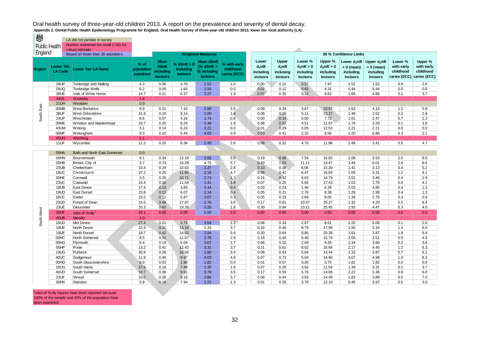| England       |                              | robust estimate<br>Based on fewer than 30 volunteers |                                |                                               |                                                | <b>Weighted Measures</b>                                       |                                           |                                            |                                            |                                                   |                                                   | 95 % Confidence Limits                                            |                                                          |                                                                 |                                    |
|---------------|------------------------------|------------------------------------------------------|--------------------------------|-----------------------------------------------|------------------------------------------------|----------------------------------------------------------------|-------------------------------------------|--------------------------------------------|--------------------------------------------|---------------------------------------------------|---------------------------------------------------|-------------------------------------------------------------------|----------------------------------------------------------|-----------------------------------------------------------------|------------------------------------|
| <b>Region</b> | Lower Tier<br><b>LA Code</b> | <b>Lower Tier LA Name</b>                            | % of<br>population<br>examined | <b>Mean</b><br>d3mft<br>including<br>incisors | $6$ d3mft $>0$<br>including<br><b>incisors</b> | Mean d3mft<br>$%$ d3mft $>$<br>0) including<br><b>incisors</b> | % with early<br>childhood<br>caries (ECC) | Lower<br>$d3$ mft<br>including<br>incisors | Upper<br>$d3$ mft<br>inclusing<br>incisors | Lower %<br>$d_3$ mft > 0<br>including<br>incisors | Upper %<br>$d_3$ mft > 0<br>including<br>incisors | Lower d <sub>3</sub> mft<br>$> 0$ (mean)<br>including<br>incisors | Upper $d_3$ mft<br>$> 0$ (mean)<br>including<br>incisors | Lower %<br>with early<br>childhood<br>caries (ECC) caries (ECC) | Upper %<br>with early<br>childhood |
|               | 29UP                         | <b>Tonbridge and Malling</b>                         | 4.3                            | 0.06                                          | 3.70                                           | 1.52                                                           | 1.0                                       | 0.00                                       | 0.12                                       | 0.57                                              | 7.97                                              | 1.52                                                              | 1.52                                                     | 0.9                                                             | 2.8                                |
|               | <b>29UQ</b>                  | <b>Tunbridge Wells</b>                               | 6.2                            | 0.05                                          | 1.83                                           | 2.50                                                           | 0.0                                       | 0.02                                       | 0.12                                       | 0.65                                              | 4.31                                              | 0.44                                                              | 5.44                                                     | 0.0                                                             | 0.0                                |
|               | 38UE                         | Vale of White Horse                                  | 14.7                           | 0.21                                          | 6.37                                           | 3.27                                                           | 1.9                                       | 0.07                                       | 0.35                                       | 3.12                                              | 9.62                                              | 1.68                                                              | 4.86                                                     | 0.1                                                             | 3.7                                |
|               | 43UL                         | Waverley                                             | 1.8                            |                                               |                                                |                                                                |                                           |                                            |                                            |                                                   |                                                   |                                                                   |                                                          |                                                                 |                                    |
|               | <b>21UH</b>                  | Wealden                                              | 0.0                            |                                               |                                                |                                                                |                                           |                                            |                                            |                                                   |                                                   |                                                                   |                                                          |                                                                 |                                    |
| South East    | 00MB                         | <b>West Berkshire</b>                                | 9.9                            | 0.21                                          | 7.42                                           | 2.89                                                           | 3.5                                       | 0.08                                       | 0.34                                       | 3.87                                              | 10.97                                             | 1.63                                                              | 4.15                                                     | 1.2                                                             | 5.8                                |
|               | <b>38UF</b>                  | West Oxfordshire                                     | 15.9                           | 0.18                                          | 9.14                                           | 2.00                                                           | 1.4                                       | 0.08                                       | 0.28                                       | 5.11                                              | 13.17                                             | 1.48                                                              | 2.52                                                     | 0.2                                                             | 2.9                                |
|               | <b>24UP</b>                  | Winchester                                           | 8.6                            | 0.07                                          | 4.16                                           | 1.74                                                           | 0.8                                       | 0.00                                       | 0.14                                       | 0.60                                              | 7.72                                              | 1.01                                                              | 2.47                                                     | 0.7                                                             | 2.3                                |
|               | 00ME                         | Windsor and Maidenhead                               | 10.7                           | 0.20                                          | 8.24                                           | 2.48                                                           | 1.9                                       | 0.08                                       | 0.32                                       | 4.51                                              | 11.97                                             | 1.76                                                              | 3.20                                                     | 0.1                                                             | 3.8                                |
|               | 43UM                         | Woking                                               | 3.1                            | 0.14                                          | 6.24                                           | 2.21                                                           | 0.0                                       | 0.01                                       | 0.29                                       | 0.05                                              | 12.53                                             | 2.21                                                              | 2.21                                                     | 0.0                                                             | 0.0                                |
|               | 00MF                         | Wokingham                                            | 9.3                            | 0.22                                          | 5.44                                           | 4.03                                                           | 0.9                                       | 0.03                                       | 0.41                                       | 2.32                                              | 8.56                                              | 1.20                                                              | 6.86                                                     | 0.3                                                             | 2.1                                |
|               | 45UH                         | Worthing                                             | 1.1                            |                                               |                                                |                                                                |                                           |                                            |                                            |                                                   |                                                   |                                                                   |                                                          |                                                                 |                                    |
|               | 11UF                         | Wycombe                                              | 11.3                           | 0.20                                          | 8.34                                           | 2.45                                                           | 2.6                                       | 0.08                                       | 0.32                                       | 4.70                                              | 11.98                                             | 1.49                                                              | 3.41                                                     | 0.5                                                             | 4.7                                |
|               | 00HA                         | <b>Bath and North East Somerset</b>                  | 0.0                            |                                               |                                                |                                                                |                                           |                                            |                                            |                                                   |                                                   |                                                                   |                                                          |                                                                 |                                    |
|               | 00HN                         | Bournemouth                                          | 9.1                            | 0.34                                          | 12.18                                          | 2.81                                                           | 5.5                                       | 0.19                                       | 0.49                                       | 7.54                                              | 16.82                                             | 2.09                                                              | 3.53                                                     | 2.5                                                             | 8.5                                |
|               | 00HB                         | Bristol, City of                                     | 3.7                            | 0.73                                          | 15.29                                          | 4.75                                                           | 5.7                                       | 0.43                                       | 1.03                                       | 11.11                                             | 19.47                                             | 3.49                                                              | 6.01                                                     | 2.8                                                             | 8.6                                |
|               | 23UB                         | Cheltenham                                           | 10.4                           | 0.24                                          | 10.63                                          | 2.27                                                           | 2.8                                       | 0.10                                       | 0.38                                       | 6.06                                              | 15.20                                             | 1.41                                                              | 3.13                                                     | 0.4                                                             | 5.2                                |
|               | 19UC                         | Christchurch                                         | 37.2                           | 0.25                                          | 11.65                                          | 2.18                                                           | 4.7                                       | 0.08                                       | 0.42                                       | 6.47                                              | 16.83                                             | 1.05                                                              | 3.31                                                     | 1.2                                                             | 8.1                                |
|               | 00HE                         | Cornwall                                             | 3.5                            | 0.29                                          | 10.71                                          | 2.74                                                           | 1.7                                       | 0.16                                       | 0.42                                       | 6.63                                              | 14.79                                             | 2.02                                                              | 3.46                                                     | 0.4                                                             | 2.9                                |
|               | 23UC                         | Cotswold                                             | 14.4                           | 0.16                                          | 11.54                                          | 1.41                                                           | 1.8                                       | 0.07                                       | 0.25                                       | 5.65                                              | 17.43                                             | 1.03                                                              | 1.79                                                     | 0.6                                                             | 4.1                                |
|               | 18UB                         | East Devon                                           | 17.4                           | 0.13                                          | 3.83                                           | 3.44                                                           | 0.4                                       | 0.03                                       | 0.23                                       | 1.40                                              | 6.26                                              | 2.03                                                              | 4.85                                                     | 0.4                                                             | 1.3                                |
|               | 19UD                         | <b>East Dorset</b>                                   | 23.8                           | 0.13                                          | 6.07                                           | 2.14                                                           | 0.4                                       | 0.05                                       | 0.21                                       | 2.76                                              | 9.38                                              | 1.29                                                              | 2.99                                                     | 0.4                                                             | 1.3                                |
|               | 18UC                         | Exeter                                               | 15.5                           | 0.12                                          | 5.87                                           | 2.07                                                           | 0.3                                       | 0.05                                       | 0.19                                       | 2.69                                              | 9.05                                              | 1.39                                                              | 2.75                                                     | 0.3                                                             | 0.9                                |
|               | 23UD                         | Forest of Dean                                       | 15.5                           | 0.49                                          | 17.87                                          | 2.76                                                           | 3.0                                       | 0.17                                       | 0.81                                       | 10.47                                             | 25.27                                             | 1.32                                                              | 4.20                                                     | 0.5                                                             | 6.4                                |
|               | 23UE                         | Gloucester                                           | 10.3                           | 0.62                                          | 19.28                                          | 3.20                                                           | 1.8                                       | 0.30                                       | 0.94                                       | 13.11                                             | 25.45                                             | 1.93                                                              | 4.47                                                     | 0.3                                                             | 4.0                                |
| South West    | <b>OOHF</b>                  | Isles of Scilly <sup>1</sup>                         | 42.1                           | 0.00                                          | 0.00                                           | 0.00                                                           | 0.0                                       | 0.00                                       | 0.00                                       | 0.00                                              | 0.00                                              | 0.00                                                              | 0.00                                                     | 0.0                                                             | 0.0                                |
|               | 40UB                         | Mendip                                               | 2.0                            |                                               |                                                |                                                                |                                           |                                            |                                            |                                                   |                                                   |                                                                   |                                                          |                                                                 |                                    |
|               | 18UD                         | Mid Devon                                            | 27.4                           | 0.21                                          | 5.74                                           | 3.64                                                           | $1.2 -$                                   | 0.08                                       | 0.34                                       | 2.87                                              | 8.61                                              | 2.20                                                              | 5.08                                                     | 0.1                                                             | 2.6                                |
|               | 18UE                         | North Devon                                          | 22.9                           | 0.31                                          | 13.19                                          | 2.33                                                           | 3.7                                       | 0.16                                       | 0.46                                       | 8.79                                              | 17.59                                             | 1.50                                                              | 3.16                                                     | 1.4                                                             | 6.0                                |
|               | 19UE                         | North Dorset                                         | 18.7                           | 0.42                                          | 14.62                                          | 2.84                                                           | 5.6                                       | 0.20                                       | 0.64                                       | 8.85                                              | 20.39                                             | 1.81                                                              | 3.87                                                     | 1.8                                                             | 9.4                                |
|               | 00HC                         | North Somerset                                       | 8.5                            | 0.31                                          | 11.07                                          | 2.78                                                           | 2.9                                       | 0.18                                       | 0.44                                       | 6.40                                              | 15.74                                             | 2.05                                                              | 3.51                                                     | 0.9                                                             | 4.9                                |
|               | 00HG                         | Plymouth                                             | 6.4                            | 0.19                                          | 6.04                                           | 3.07                                                           | 1.7                                       | 0.06                                       | 0.32                                       | 2.69                                              | 9.39                                              | 2.34                                                              | 3.80                                                     | 0.2                                                             | 3.6                                |
|               | 00HP                         | Poole                                                | 13.2                           | 0.41                                          | 12.43                                          | 3.31                                                           | 3.7                                       | 0.21                                       | 0.61                                       | 8.02                                              | 16.84                                             | 2.17                                                              | 4.45                                                     | 1.2                                                             | 6.3                                |
|               | 19UG                         | Purbeck                                              | 40.9                           | 0.26                                          | 10.04                                          | 2.60                                                           | 3.4                                       | 0.09                                       | 0.43                                       | 5.64                                              | 14.44                                             | 1.33                                                              | 3.87                                                     | 0.7                                                             | 6.1                                |
|               | 40UC                         | Sedgemoor                                            | 11.9                           | 0.40                                          | 9.97                                           | 4.03                                                           | 4.6                                       | 0.07                                       | 0.73                                       | 5.04                                              | 14.90                                             | 3.07                                                              | 4.99                                                     | 1.0                                                             | 8.3                                |
|               | 00HD                         | South Gloucestershire                                | 6.0                            | 0.03                                          | 1.90                                           | 1.82                                                           | 0.0                                       | 0.01                                       | 0.07                                       | 0.05                                              | 3.75                                              | 1.82                                                              | 1.82                                                     | 0.0                                                             | 0.0                                |
|               | 18UG                         | South Hams                                           | 27.6                           | 0.18                                          | 7.48                                           | 2.35                                                           | 1.9                                       | 0.07                                       | 0.29                                       | 3.92                                              | 11.04                                             | 1.39                                                              | 3.31                                                     | 0.1                                                             | 3.7                                |
|               | 40UD                         | South Somerset                                       | 10.7                           | 0.38                                          | 9.91                                           | 3.79                                                           | 3.5                                       | 0.17                                       | 0.59                                       | 5.76                                              | 14.06                                             | 2.22                                                              | 5.36                                                     | 0.9                                                             | 6.0                                |
|               | 23UF                         | Stroud                                               | 10.0                           | 0.26                                          | 9.16                                           | 2.86                                                           | 3.7                                       | 0.08                                       | 0.44                                       | 3.83                                              | 14.49                                             | 1.83                                                              | 3.89                                                     | 0.5                                                             | 7.0                                |
|               | 00HX                         | Swindon                                              | 5.8                            | 0.18                                          | 7.94                                           | 2.21                                                           | 1.3                                       | 0.01                                       | 0.35                                       | 3.78                                              | 12.10                                             | 0.45                                                              | 3.97                                                     | 0.5                                                             | 3.0                                |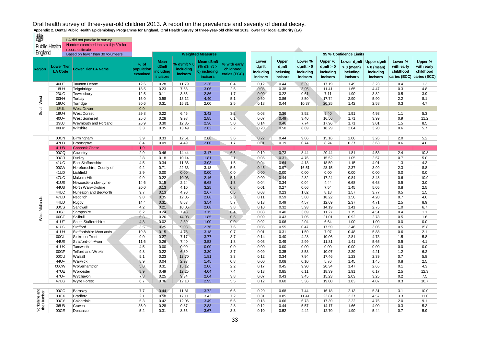| ₩                           |                                     | LA did not partake in survey                 |                                  |                                               |                                        |                                                                |                                           |                                                    |                                             |                                                   |                                                   |                                                          |                                                          |                                                    |                                                    |
|-----------------------------|-------------------------------------|----------------------------------------------|----------------------------------|-----------------------------------------------|----------------------------------------|----------------------------------------------------------------|-------------------------------------------|----------------------------------------------------|---------------------------------------------|---------------------------------------------------|---------------------------------------------------|----------------------------------------------------------|----------------------------------------------------------|----------------------------------------------------|----------------------------------------------------|
|                             |                                     | Number examined too small (<30) for          |                                  |                                               |                                        |                                                                |                                           |                                                    |                                             |                                                   |                                                   |                                                          |                                                          |                                                    |                                                    |
|                             | <b>Public Health</b>                | robust estimate                              |                                  |                                               |                                        |                                                                |                                           |                                                    |                                             |                                                   |                                                   |                                                          |                                                          |                                                    |                                                    |
| England                     |                                     | Based on fewer than 30 volunteers            |                                  |                                               |                                        | <b>Weighted Measures</b>                                       |                                           |                                                    |                                             |                                                   |                                                   | 95 % Confidence Limits                                   |                                                          |                                                    |                                                    |
| Region                      | <b>Lower Tier</b><br><b>LA Code</b> | Lower Tier LA Name                           | $%$ of<br>population<br>examined | <b>Mean</b><br>d3mft<br>including<br>incisors | % $d3mft > 0$<br>including<br>incisors | Mean d3mft<br>$%$ d3mft $>$<br>0) including<br><b>incisors</b> | % with early<br>childhood<br>caries (ECC) | Lower<br>$d_3$ mft<br>including<br><b>incisors</b> | Upper<br>$d_3$ mft<br>inclusing<br>incisors | Lower %<br>$d_3$ mft > 0<br>including<br>incisors | Upper %<br>$d_3$ mft > 0<br>including<br>incisors | Lower $d_3$ mft<br>$> 0$ (mean)<br>including<br>incisors | Upper $d_3$ mft<br>$> 0$ (mean)<br>including<br>incisors | Lower %<br>with early<br>childhood<br>caries (ECC) | Upper %<br>with early<br>childhood<br>caries (ECC) |
|                             | 40UE                                | <b>Taunton Deane</b>                         | 12.6                             | 0.28                                          | 11.79                                  | 2.36                                                           | 0.4                                       | 0.12                                               | 0.44                                        | 6.39                                              | 17.19                                             | 1.49                                                     | 3.23                                                     | 0.4                                                | 1.3                                                |
|                             | 18UH                                | Teignbridge                                  | 18.5                             | 0.23                                          | 7.68                                   | 3.06                                                           | 2.6                                       | 0.08                                               | 0.38                                        | 3.95                                              | 11.41                                             | 1.65                                                     | 4.47                                                     | 0.3                                                | 4.8                                                |
|                             | 23UG                                | Tewkesbury                                   | 12.5                             | 0.11                                          | 3.86                                   | 2.86                                                           | 1.7                                       | 0.00                                               | 0.22                                        | 0.61                                              | 7.11                                              | 1.90                                                     | 3.82                                                     | 0.5                                                | 3.9                                                |
|                             | 00HH                                | Torbay                                       | 16.0                             | 0.58                                          | 13.12                                  | 4.40                                                           | 5.1                                       | 0.30                                               | 0.86                                        | 8.50                                              | 17.74                                             | 2.90                                                     | 5.90                                                     | 2.2                                                | 8.1                                                |
| South West                  | <b>18UK</b>                         | Torridge                                     | 30.6                             | 0.31                                          | 15.31                                  | 2.00                                                           | 2.5                                       | 0.18                                               | 0.44                                        | 10.37                                             | 20.25                                             | 1.42                                                     | 2.58                                                     | 0.3                                                | 4.7                                                |
|                             | <b>18UL</b>                         | <b>West Devon</b>                            | 0.0                              |                                               |                                        |                                                                |                                           |                                                    |                                             |                                                   |                                                   |                                                          |                                                          |                                                    |                                                    |
|                             | 19UH                                | <b>West Dorset</b>                           | 29.8                             | 0.22                                          | 6.46                                   | 3.42                                                           | 3.2                                       | 0.08                                               | 0.36                                        | 3.52                                              | 9.40                                              | 1.91                                                     | 4.93                                                     | 1.1                                                | 5.3                                                |
|                             | 40UF                                | <b>West Somerset</b>                         | 25.6                             | 0.28                                          | 9.98                                   | 2.85                                                           | 6.1                                       | 0.07                                               | 0.49                                        | 3.40                                              | 16.56                                             | 1.71                                                     | 3.99                                                     | 0.9                                                | 11.2                                               |
|                             | <b>19UJ</b>                         | Weymouth and Portland                        | 26.9                             | 0.30                                          | 12.85                                  | 2.36                                                           | 5.0                                       | 0.14                                               | 0.46                                        | 7.74                                              | 17.96                                             | 1.71                                                     | 3.01                                                     | 1.5                                                | 8.5                                                |
|                             | 00HY                                | Wiltshire                                    | 3.3                              | 0.35                                          | 13.49                                  | 2.62                                                           | 3.2                                       | 0.20                                               | 0.50                                        | 8.69                                              | 18.29                                             | 2.04                                                     | 3.20                                                     | 0.6                                                | 5.7                                                |
|                             |                                     |                                              |                                  |                                               |                                        |                                                                |                                           |                                                    |                                             |                                                   |                                                   |                                                          |                                                          |                                                    |                                                    |
|                             | 00CN                                | Birmingham                                   | 3.9                              | 0.33                                          | 12.51                                  | 2.66                                                           | 3.6                                       | 0.22                                               | 0.44                                        | 9.86                                              | 15.16                                             | 2.06                                                     | 3.26                                                     | 2.0                                                | 5.2                                                |
|                             | 47UB                                | Bromsgrove                                   | 8.4                              | 0.09                                          | 4.49                                   | 2.00                                                           | 1.7                                       | 0.01                                               | 0.19                                        | 0.74                                              | 8.24                                              | 0.37                                                     | 3.63                                                     | 0.6                                                | 4.0                                                |
|                             | 41UB                                | <b>Cannock Chase</b>                         | 1.9                              |                                               |                                        |                                                                |                                           |                                                    |                                             |                                                   |                                                   |                                                          |                                                          |                                                    |                                                    |
|                             | 00CQ                                | Coventry                                     | 2.9                              | 0.46                                          | 14.44                                  | 3.17                                                           | 6.6                                       | 0.19                                               | 0.73                                        | 8.44                                              | 20.44                                             | 1.81                                                     | 4.53                                                     | 2.4                                                | 10.8                                               |
|                             | 00CR                                | Dudley                                       | 2.8                              | 0.18                                          | 10.14                                  | 1.81                                                           | 2.1                                       | 0.05                                               | 0.31                                        | 4.76                                              | 15.52                                             | 1.05                                                     | 2.57                                                     | 0.7                                                | 5.0                                                |
|                             | 41UC                                | East Staffordshire                           | 4.5                              | 0.34                                          | 11.36                                  | 3.03                                                           | 1.5                                       | 0.04                                               | 0.64                                        | 4.13                                              | 18.59                                             | 1.15                                                     | 4.91                                                     | 1.3                                                | 4.3                                                |
|                             | 00GA                                | Herefordshire, County of                     | 9.2                              | 0.71                                          | 22.33                                  | 3.18                                                           | 5.6                                       | 0.45                                               | 0.97                                        | 16.51                                             | 28.15                                             | 2.37                                                     | 3.99                                                     | 2.3                                                | 8.8                                                |
|                             | 41UD                                | Lichfield                                    | 2.9<br>9.9                       | 0.00<br>0.22                                  | 0.00                                   | 0.00                                                           | 0.0                                       | 0.00                                               | 0.00                                        | 0.00                                              | 0.00                                              | 0.00                                                     | 0.00                                                     | 0.0                                                | 0.0<br>10.9                                        |
|                             | 47UC<br>41UE                        | <b>Malvern Hills</b><br>Newcastle-under-Lyme | 14.6                             | 0.15                                          | 10.03<br>2.24                          | 2.16<br>6.68                                                   | 5.1<br>1.3                                | 0.00<br>0.04                                       | 0.44<br>0.34                                | 2.82<br>0.04                                      | 17.24<br>4.44                                     | 0.84<br>6.68                                             | 3.48<br>6.68                                             | 0.6<br>0.5                                         | 3.0                                                |
|                             | 44UB                                | North Warwickshire                           | 20.0                             | 0.13                                          | 4.10                                   | 3.25                                                           | 0.8                                       | 0.01                                               | 0.27                                        | 0.66                                              | 7.54                                              | 1.45                                                     | 5.05                                                     | 0.8                                                | 2.5                                                |
|                             | 44UC                                | Nuneaton and Bedworth                        | 9.7                              | 0.13                                          | 4.90                                   | 2.67                                                           | 0.5                                       | 0.03                                               | 0.23                                        | 1.62                                              | 8.18                                              | 1.57                                                     | 3.77                                                     | 0.5                                                | 1.5                                                |
|                             | 47UD                                | Redditch                                     | 9.8                              | 0.35                                          | 12.05                                  | 2.88                                                           | 2.0                                       | 0.11                                               | 0.59                                        | 5.88                                              | 18.22                                             | 1.56                                                     | 4.20                                                     | 0.7                                                | 4.6                                                |
| West Midlands               | 44UD                                | Rugby                                        | 14.4                             | 0.31                                          | 8.63                                   | 3.54                                                           | 5.7                                       | 0.13                                               | 0.49                                        | 4.57                                              | 12.69                                             | 2.37                                                     | 4.71                                                     | 2.5                                                | 8.9                                                |
|                             | 00CS                                | Sandwell                                     | 4.2                              | 0.21                                          | 10.06                                  | 2.08                                                           | 3.8                                       | 0.10                                               | 0.32                                        | 5.93                                              | 14.19                                             | 1.41                                                     | 2.75                                                     | 1.0                                                | 6.7                                                |
|                             | 00GG                                | Shropshire                                   | 6.2                              | 0.24                                          | 7.48                                   | 3.15                                                           | 0.4                                       | 0.08                                               | 0.40                                        | 3.69                                              | 11.27                                             | 1.79                                                     | 4.51                                                     | 0.4                                                | 1.1                                                |
|                             | 00CT                                | Solihull                                     | 6.8                              | 0.26                                          | 14.03                                  | 1.85                                                           | 0.6                                       | 0.09                                               | 0.43                                        | 7.05                                              | 21.01                                             | 0.92                                                     | 2.78                                                     | 0.5                                                | 1.6                                                |
|                             | 41UF                                | South Staffordshire                          | 4.3                              | 0.02                                          | 2.30                                   | 1.00                                                           | 0.0                                       | 0.02                                               | 0.06                                        | 2.04                                              | 6.64                                              | 1.00                                                     | 1.00                                                     | 0.0                                                | 0.0                                                |
|                             | 41UG                                | Stafford                                     | 3.5                              | 0.25                                          | 9.03                                   | 2.76                                                           | 7.6                                       | 0.05                                               | 0.55                                        | 0.47                                              | 17.59                                             | 2.46                                                     | 3.06                                                     | 0.5                                                | 15.8                                               |
|                             | 41UH                                | Staffordshire Moorlands                      | 19.8                             | 0.15                                          | 4.78                                   | 3.18                                                           | 0.7                                       | 0.01                                               | 0.31                                        | 1.59                                              | 7.97                                              | 0.48                                                     | 5.88                                                     | 0.6                                                | 2.1                                                |
|                             | 00GL                                | Stoke-on-Trent                               | 9.0                              | 0.27                                          | 7.17                                   | 3.77                                                           | 3.7                                       | 0.14                                               | 0.40                                        | 4.28                                              | 10.06                                             | 2.81                                                     | 4.73                                                     | 1.5                                                | 5.8                                                |
|                             | 44UE                                | Stratford-on-Avon                            | 11.6                             | 0.26                                          | 7.40                                   | 3.53                                                           | 1.8                                       | 0.03                                               | 0.49                                        | 2.99                                              | 11.81                                             | 1.41                                                     | 5.65                                                     | 0.5                                                | 4.1                                                |
|                             | 41UK                                | Tamworth                                     | 4.5                              | 0.00                                          | 0.00                                   | 0.00                                                           | 0.0                                       | 0.00                                               | 0.00                                        | 0.00                                              | 0.00                                              | 0.00                                                     | 0.00                                                     | 0.0                                                | 0.0                                                |
|                             | 00GF                                | <b>Telford and Wrekin</b>                    | 9.8                              | 0.22                                          | 6.80                                   | 3.30                                                           | 3.7                                       | 0.09                                               | 0.35                                        | 3.53                                              | 10.07                                             | 2.39                                                     | 4.21                                                     | 1.2                                                | 6.2                                                |
|                             | 00CU                                | Walsall                                      | 5.1                              | 0.23                                          | 12.70                                  | 1.81                                                           | 3.3                                       | 0.12                                               | 0.34                                        | 7.94                                              | 17.46                                             | 1.23                                                     | 2.39                                                     | 0.7                                                | 5.8                                                |
|                             | 44UF                                | Warwick                                      | 8.9                              | 0.04                                          | 2.93                                   | 1.45                                                           | 0.8                                       | 0.00                                               | 0.08                                        | 0.10                                              | 5.76                                              | 1.45                                                     | 1.45                                                     | 0.8                                                | 2.5                                                |
|                             | 00CW                                | Wolverhampton                                | 5.0                              | 0.31                                          | 15.12                                  | 2.06                                                           | 2.2                                       | 0.17                                               | 0.45                                        | 9.90                                              | 20.34                                             | 1.47                                                     | 2.65                                                     | 0.1                                                | 4.3                                                |
|                             | 47UE                                | Worcester                                    | 8.9                              | 0.49                                          | 12.25                                  | 4.04                                                           | 7.4                                       | 0.13                                               | 0.85                                        | 6.11                                              | 18.39                                             | 1.91                                                     | 6.17                                                     | 2.5                                                | 12.3                                               |
|                             | 47UF                                | Wychavon                                     | 7.8                              | 0.25                                          | 9.34                                   | 2.64                                                           | 3.8                                       | 0.07                                               | 0.43                                        | 3.45                                              | 15.23                                             | 2.03                                                     | 3.25                                                     | 0.2                                                | 7.5                                                |
|                             | 47UG                                | <b>Wyre Forest</b>                           | 6.7                              | 0.36                                          | 12.18                                  | 2.95                                                           | 5.5                                       | 0.12                                               | 0.60                                        | 5.36                                              | 19.00                                             | 1.83                                                     | 4.07                                                     | 0.3                                                | 10.7                                               |
|                             |                                     |                                              |                                  |                                               |                                        |                                                                |                                           |                                                    |                                             |                                                   |                                                   |                                                          |                                                          |                                                    |                                                    |
| Yorkshire and<br>the Humber | 00CC                                | Barnsley                                     | 7.7                              | 0.44                                          | 11.81                                  | 3.72                                                           | 6.6                                       | 0.20                                               | 0.68                                        | 7.44                                              | 16.18                                             | 2.13                                                     | 5.31                                                     | 3.1                                                | 10.0                                               |
|                             | 00CX                                | Bradford                                     | 2.1                              | 0.58                                          | 17.11                                  | 3.42                                                           | 7.2                                       | 0.31                                               | 0.85                                        | 11.41                                             | 22.81                                             | 2.27                                                     | 4.57                                                     | 3.3                                                | 11.0                                               |
|                             | 00CY                                | Calderdale                                   | 5.3                              | 0.42                                          | 12.06                                  | 3.49                                                           | 5.6                                       | 0.18                                               | 0.66                                        | 6.73                                              | 17.39                                             | 2.22                                                     | 4.76                                                     | 2.0                                                | 9.1                                                |
|                             | 36UB                                | Craven                                       | 35.9                             | 0.28                                          | 9.87                                   | 2.83                                                           | 2.8                                       | 0.12                                               | 0.44                                        | 5.57                                              | 14.17                                             | 1.66                                                     | 4.00                                                     | 0.3                                                | 5.3                                                |
|                             | 00CE                                | Doncaster                                    | 5.2                              | 0.31                                          | 8.56                                   | 3.67                                                           | 3.3                                       | 0.10                                               | 0.52                                        | 4.42                                              | 12.70                                             | 1.90                                                     | 5.44                                                     | 0.7                                                | 5.9                                                |